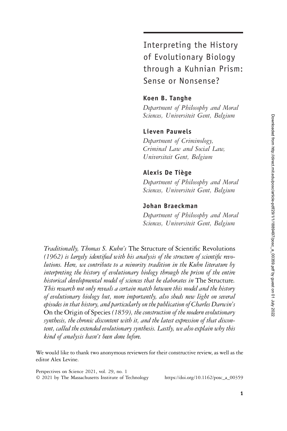Interpreting the History of Evolutionary Biology through a Kuhnian Prism: Sense or Nonsense?

## Koen B. Tanghe

Department of Philosophy and Moral Sciences, Universiteit Gent, Belgium

### Lieven Pauwels

Department of Criminology, Criminal Law and Social Law, Universiteit Gent, Belgium

### Alexis De Tiège

Department of Philosophy and Moral Sciences, Universiteit Gent, Belgium

## Johan Braeckman

Department of Philosophy and Moral Sciences, Universiteit Gent, Belgium

Traditionally, Thomas S. Kuhn's The Structure of Scientific Revolutions (1962) is largely identified with his analysis of the structure of scientific revolutions. Here, we contribute to a minority tradition in the Kuhn literature by interpreting the history of evolutionary biology through the prism of the entire historical developmental model of sciences that he elaborates in The Structure. This research not only reveals a certain match between this model and the history of evolutionary biology but, more importantly, also sheds new light on several episodes in that history, and particularly on the publication of Charles Darwin's On the Origin of Species (1859), the construction of the modern evolutionary synthesis, the chronic discontent with it, and the latest expression of that discontent, called the extended evolutionary synthesis. Lastly, we also explain why this kind of analysis hasn't been done before.

We would like to thank two anonymous reviewers for their constructive review, as well as the editor Alex Levine.

Perspectives on Science 2021, vol. 29, no. 1 © 2021 by The Massachusetts Institute of Technology https://doi.org/10.1162/posc\_a\_00359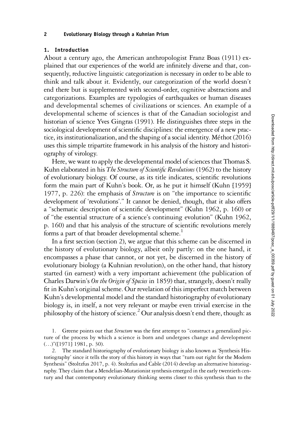### 1. Introduction

About a century ago, the American anthropologist Franz Boas (1911) explained that our experiences of the world are infinitely diverse and that, consequently, reductive linguistic categorization is necessary in order to be able to think and talk about it. Evidently, our categorization of the world doesn't end there but is supplemented with second-order, cognitive abstractions and categorizations. Examples are typologies of earthquakes or human diseases and developmental schemes of civilizations or sciences. An example of a developmental scheme of sciences is that of the Canadian sociologist and historian of science Yves Gingras (1991). He distinguishes three steps in the sociological development of scientific disciplines: the emergence of a new practice, its institutionalization, and the shaping of a social identity. Méthot (2016) uses this simple tripartite framework in his analysis of the history and historiography of virology.

Here, we want to apply the developmental model of sciences that Thomas S. Kuhn elaborated in his The Structure of Scientific Revolutions (1962) to the history of evolutionary biology. Of course, as its title indicates, scientific revolutions form the main part of Kuhn's book. Or, as he put it himself (Kuhn [1959] 1977, p. 226): the emphasis of Structure is on "the importance to scientific development of 'revolutions'." It cannot be denied, though, that it also offers a "schematic description of scientific development" (Kuhn 1962, p. 160) or of "the essential structure of a science's continuing evolution" (Kuhn 1962, p. 160) and that his analysis of the structure of scientific revolutions merely forms a part of that broader developmental scheme.<sup>1</sup>

In a first section (section 2), we argue that this scheme can be discerned in the history of evolutionary biology, albeit only partly: on the one hand, it encompasses a phase that cannot, or not yet, be discerned in the history of evolutionary biology (a Kuhnian revolution), on the other hand, that history started (in earnest) with a very important achievement (the publication of Charles Darwin's On the Origin of Species in 1859) that, strangely, doesn't really fit in Kuhn's original scheme. Our revelation of this imperfect match between Kuhn's developmental model and the standard historiography of evolutionary biology is, in itself, a not very relevant or maybe even trivial exercise in the philosophy of the history of science.<sup>2</sup> Our analysis doesn't end there, though: as

2. The standard historiography of evolutionary biology is also known as 'Synthesis Historiography' since it tells the story of this history in ways that "turn out right for the Modern Synthesis" (Stoltzfus 2017, p. 4). Stoltzfus and Cable (2014) develop an alternative historiography. They claim that a Mendelian-Mutationist synthesis emerged in the early twentieth century and that contemporary evolutionary thinking seems closer to this synthesis than to the

<sup>1.</sup> Greene points out that *Structure* was the first attempt to "construct a generalized picture of the process by which a science is born and undergoes change and development (…)"([1971] 1981, p. 30).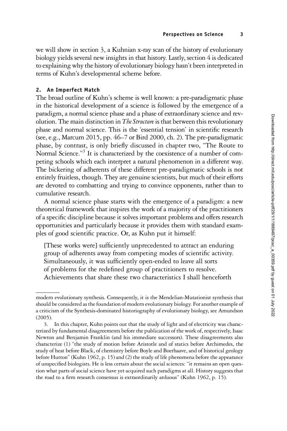we will show in section 3, a Kuhnian x-ray scan of the history of evolutionary biology yields several new insights in that history. Lastly, section 4 is dedicated to explaining why the history of evolutionary biology hasn't been interpreted in terms of Kuhn's developmental scheme before.

# 2. An Imperfect Match

The broad outline of Kuhn's scheme is well known: a pre-paradigmatic phase in the historical development of a science is followed by the emergence of a paradigm, a normal science phase and a phase of extraordinary science and revolution. The main distinction in *The Structure* is that between this revolutionary phase and normal science. This is the 'essential tension' in scientific research (see, e.g., Marcum 2015, pp. 46–7 or Bird 2000, ch. 2). The pre-paradigmatic phase, by contrast, is only briefly discussed in chapter two, "The Route to Normal Science."<sup>3</sup> It is characterized by the coexistence of a number of competing schools which each interpret a natural phenomenon in a different way. The bickering of adherents of these different pre-paradigmatic schools is not entirely fruitless, though. They are genuine scientists, but much of their efforts are devoted to combatting and trying to convince opponents, rather than to cumulative research.

A normal science phase starts with the emergence of a paradigm: a new theoretical framework that inspires the work of a majority of the practitioners of a specific discipline because it solves important problems and offers research opportunities and particularly because it provides them with standard examples of good scientific practice. Or, as Kuhn put it himself:

[These works were] sufficiently unprecedented to attract an enduring group of adherents away from competing modes of scientific activity. Simultaneously, it was sufficiently open-ended to leave all sorts of problems for the redefined group of practitioners to resolve. Achievements that share these two characteristics I shall henceforth

modern evolutionary synthesis. Consequently, it is the Mendelian-Mutationist synthesis that should be considered as the foundation of modern evolutionary biology. For another example of a criticism of the Synthesis-dominated historiography of evolutionary biology, see Amundson (2005).

<sup>3.</sup> In this chapter, Kuhn points out that the study of light and of electricity was characterized by fundamental disagreements before the publication of the work of, respectively, Isaac Newton and Benjamin Franklin (and his immediate successors). These disagreements also characterize (1) "the study of motion before Aristotle and of statics before Archimedes, the study of heat before Black, of chemistry before Boyle and Boerhaave, and of historical geology before Hutton" (Kuhn 1962, p. 15) and (2) the study of life phenomena before the appearance of unspecified biologists. He is less certain about the social sciences: "it remains an open question what parts of social science have yet acquired such paradigms at all. History suggests that the road to a firm research consensus is extraordinarily arduous" (Kuhn 1962, p. 15).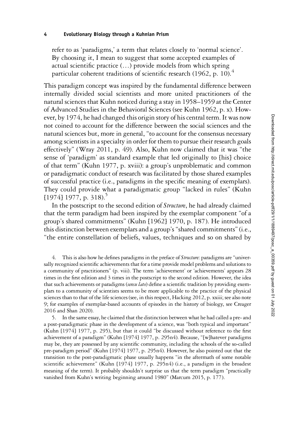refer to as 'paradigms,' a term that relates closely to 'normal science'. By choosing it, I mean to suggest that some accepted examples of actual scientific practice (…) provide models from which spring particular coherent traditions of scientific research (1962, p. 10).<sup>4</sup>

This paradigm concept was inspired by the fundamental difference between internally divided social scientists and more united practitioners of the natural sciences that Kuhn noticed during a stay in 1958–1959 at the Center of Advanced Studies in the Behavioral Sciences (see Kuhn 1962, p. x). However, by 1974, he had changed this origin story of his central term. It was now not coined to account for the difference between the social sciences and the natural sciences but, more in general, "to account for the consensus necessary among scientists in a specialty in order for them to pursue their research goals effectively" (Wray 2011, p. 49). Also, Kuhn now claimed that it was "the sense of 'paradigm' as standard example that led originally to [his] choice of that term" (Kuhn 1977, p. xviii): a group's unproblematic and common or paradigmatic conduct of research was facilitated by those shared examples of successful practice (i.e., paradigms in the specific meaning of exemplars). They could provide what a paradigmatic group "lacked in rules" (Kuhn  $[1974]$  1977, p. 318).<sup>5</sup>

In the postscript to the second edition of *Structure*, he had already claimed that the term paradigm had been inspired by the exemplar component "of a group's shared commitments" (Kuhn [1962] 1970, p. 187). He introduced this distinction between exemplars and a group's"shared commitments"(i.e., "the entire constellation of beliefs, values, techniques and so on shared by

4. This is also how he defines paradigms in the preface of Structure: paradigms are "universally recognized scientific achievements that for a time provide model problems and solutions to a community of practitioners" (p. viii). The term 'achievement' or 'achievements' appears 28 times in the first edition and 3 times in the postscript to the second edition. However, the idea that such achievements or paradigms (sensu lato) define a scientific tradition by providing exemplars to a community of scientists seems to be more applicable to the practice of the physical sciences than to that of the life sciences (see, in this respect, Hacking 2012, p. xxiii; see also note 9; for examples of exemplar-based accounts of episodes in the history of biology, see Creager 2016 and Shan 2020).

5. In the same essay, he claimed that the distinction between what he had called a pre- and a post-paradigmatic phase in the development of a science, was "both typical and important" (Kuhn [1974] 1977, p. 295), but that it could "be discussed without reference to the first achievement of a paradigm" (Kuhn [1974] 1977, p. 295n4). Because, "[w]hatever paradigms may be, they are possessed by any scientific community, including the schools of the so-called pre-paradigm period" (Kuhn [1974] 1977, p. 295n4). However, he also pointed out that the transition to the post-paradigmatic phase usually happens "in the aftermath of some notable scientific achievement" (Kuhn [1974] 1977, p. 295n4) (i.e., a paradigm in the broadest meaning of the term). It probably shouldn't surprise us that the term paradigm "practically vanished from Kuhn's writing beginning around 1980" (Marcum 2015, p. 177).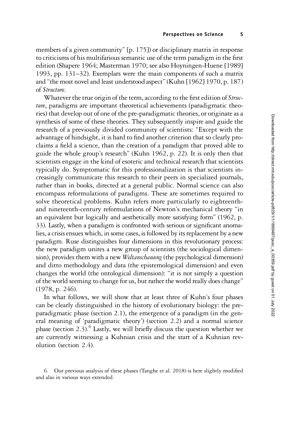members of a given community" [p. 175]) or disciplinary matrix in response to criticisms of his multifarious semantic use of the term paradigm in the first edition (Shapere 1964; Masterman 1970; see also Hoyningen-Huene [1989] 1993, pp. 131–32). Exemplars were the main components of such a matrix and "the most novel and least understood aspect"(Kuhn [1962] 1970, p. 187) of Structure.

Whatever the true origin of the term, according to the first edition of Structure, paradigms are important theoretical achievements (paradigmatic theories) that develop out of one of the pre-paradigmatic theories, or originate as a synthesis of some of these theories. They subsequently inspire and guide the research of a previously divided community of scientists: "Except with the advantage of hindsight, it is hard to find another criterion that so clearly proclaims a field a science, than the creation of a paradigm that proved able to guide the whole group's research" (Kuhn 1962, p. 22). It is only then that scientists engage in the kind of esoteric and technical research that scientists typically do. Symptomatic for this professionalization is that scientists increasingly communicate this research to their peers in specialized journals, rather than in books, directed at a general public. Normal science can also encompass reformulations of paradigms. These are sometimes required to solve theoretical problems. Kuhn refers more particularly to eighteenthand nineteenth-century reformulations of Newton's mechanical theory "in an equivalent but logically and aesthetically more satisfying form" (1962, p. 33). Lastly, when a paradigm is confronted with serious or significant anomalies, a crisis ensues which, in some cases, is followed by its replacement by a new paradigm. Ruse distinguishes four dimensions in this revolutionary process: the new paradigm unites a new group of scientists (the sociological dimension), provides them with a new Weltanschauung (the psychological dimension) and ditto methodology and data (the epistemological dimension) and even changes the world (the ontological dimension): "it is not simply a question of the world seeming to change for us, but rather the world really does change" (1978, p. 246).

In what follows, we will show that at least three of Kuhn's four phases can be clearly distinguished in the history of evolutionary biology: the preparadigmatic phase (section 2.1), the emergence of a paradigm (in the general meaning of 'paradigmatic theory') (section 2.2) and a normal science phase (section 2.3).<sup>6</sup> Lastly, we will briefly discuss the question whether we are currently witnessing a Kuhnian crisis and the start of a Kuhnian revolution (section 2.4).

6. Our previous analysis of these phases (Tanghe et al. 2018) is here slightly modified and also in various ways extended.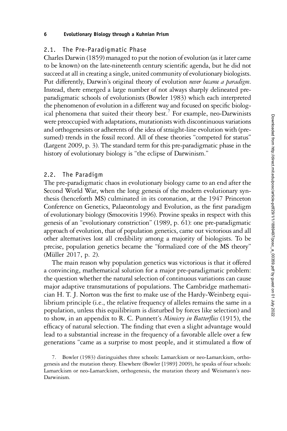## 2.1. The Pre-Paradigmatic Phase

Charles Darwin (1859) managed to put the notion of evolution (as it later came to be known) on the late-nineteenth century scientific agenda, but he did not succeed at all in creating a single, united community of evolutionary biologists. Put differently, Darwin's original theory of evolution never became a paradigm. Instead, there emerged a large number of not always sharply delineated preparadigmatic schools of evolutionists (Bowler 1983) which each interpreted the phenomenon of evolution in a different way and focused on specific biological phenomena that suited their theory best.<sup>7</sup> For example, neo-Darwinists were preoccupied with adaptations, mutationists with discontinuous variations and orthogenesists or adherents of the idea of straight-line evolution with (presumed) trends in the fossil record. All of these theories "competed for status" (Largent 2009, p. 3). The standard term for this pre-paradigmatic phase in the history of evolutionary biology is "the eclipse of Darwinism."

## 2.2. The Paradigm

The pre-paradigmatic chaos in evolutionary biology came to an end after the Second World War, when the long genesis of the modern evolutionary synthesis (henceforth MS) culminated in its coronation, at the 1947 Princeton Conference on Genetics, Palaeontology and Evolution, as the first paradigm of evolutionary biology (Smocovitis 1996). Provine speaks in respect with this genesis of an "evolutionary constriction" (1989, p. 61): one pre-paradigmatic approach of evolution, that of population genetics, came out victorious and all other alternatives lost all credibility among a majority of biologists. To be precise, population genetics became the "formalized core of the MS theory" (Müller 2017, p. 2).

The main reason why population genetics was victorious is that it offered a convincing, mathematical solution for a major pre-paradigmatic problem: the question whether the natural selection of continuous variations can cause major adaptive transmutations of populations. The Cambridge mathematician H. T. J. Norton was the first to make use of the Hardy-Weinberg equilibrium principle (i.e., the relative frequency of alleles remains the same in a population, unless this equilibrium is disturbed by forces like selection) and to show, in an appendix to R. C. Punnett's Mimicry in Butterflies (1915), the efficacy of natural selection. The finding that even a slight advantage would lead to a substantial increase in the frequency of a favorable allele over a few generations "came as a surprise to most people, and it stimulated a flow of

7. Bowler (1983) distinguishes three schools: Lamarckism or neo-Lamarckism, orthogenesis and the mutation theory. Elsewhere (Bowler [1989] 2009), he speaks of four schools: Lamarckism or neo-Lamarckism, orthogenesis, the mutation theory and Weismann's neo-Darwinism.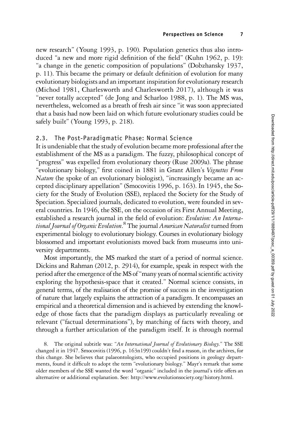new research" (Young 1993, p. 190). Population genetics thus also introduced "a new and more rigid definition of the field" (Kuhn 1962, p. 19): "a change in the genetic composition of populations" (Dobzhansky 1937, p. 11). This became the primary or default definition of evolution for many evolutionary biologists and an important inspiration for evolutionary research (Michod 1981, Charlesworth and Charlesworth 2017), although it was "never totally accepted" (de Jong and Scharloo 1988, p. 1). The MS was, nevertheless, welcomed as a breath of fresh air since "it was soon appreciated that a basis had now been laid on which future evolutionary studies could be safely built" (Young 1993, p. 218).

## 2.3. The Post-Paradigmatic Phase: Normal Science

It is undeniable that the study of evolution became more professional after the establishment of the MS as a paradigm. The fuzzy, philosophical concept of "progress" was expelled from evolutionary theory (Ruse 2009a). The phrase "evolutionary biology," first coined in 1881 in Grant Allen's Vignettes From Nature (he spoke of an evolutionary biologist), "increasingly became an accepted disciplinary appellation" (Smocovitis 1996, p. 163). In 1945, the Society for the Study of Evolution (SSE), replaced the Society for the Study of Speciation. Specialized journals, dedicated to evolution, were founded in several countries. In 1946, the SSE, on the occasion of its First Annual Meeting, established a research journal in the field of evolution: Evolution: An International Journal of Organic Evolution.<sup>8</sup> The journal A*merican Naturalist* turned from experimental biology to evolutionary biology. Courses in evolutionary biology blossomed and important evolutionists moved back from museums into university departments.

Most importantly, the MS marked the start of a period of normal science. Dickins and Rahman (2012, p. 2914), for example, speak in respect with the period after the emergence of the MS of"many years of normal scientific activity exploring the hypothesis-space that it created." Normal science consists, in general terms, of the realisation of the promise of success in the investigation of nature that largely explains the attraction of a paradigm. It encompasses an empirical and a theoretical dimension and is achieved by extending the knowledge of those facts that the paradigm displays as particularly revealing or relevant ("factual determinations"), by matching of facts with theory, and through a further articulation of the paradigm itself. It is through normal

8. The original subtitle was: "An International Journal of Evolutionary Biology." The SSE changed it in 1947. Smocovitis (1996, p. 163n199) couldn't find a reason, in the archives, for this change. She believes that palaeontologists, who occupied positions in geology departments, found it difficult to adopt the term "evolutionary biology." Mayr's remark that some older members of the SSE wanted the word "organic" included in the journal's title offers an alternative or additional explanation. See: [http://www.evolutionsociety.org/history.html.](http://www.evolutionsociety.org/history.html)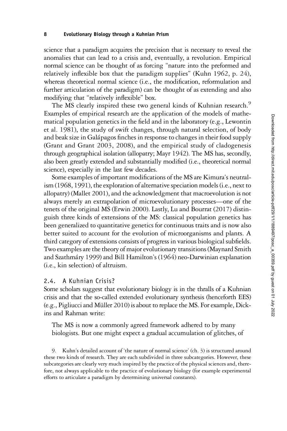science that a paradigm acquires the precision that is necessary to reveal the anomalies that can lead to a crisis and, eventually, a revolution. Empirical normal science can be thought of as forcing "nature into the preformed and relatively inflexible box that the paradigm supplies" (Kuhn 1962, p. 24), whereas theoretical normal science (i.e., the modification, reformulation and further articulation of the paradigm) can be thought of as extending and also modifying that "relatively inflexible" box.

The MS clearly inspired these two general kinds of Kuhnian research.<sup>9</sup> Examples of empirical research are the application of the models of mathematical population genetics in the field and in the laboratory (e.g., Lewontin et al. 1981), the study of swift changes, through natural selection, of body and beak size in Galápagos finches in response to changes in their food supply (Grant and Grant 2003, 2008), and the empirical study of cladogenesis through geographical isolation (allopatry; Mayr 1942). The MS has, secondly, also been greatly extended and substantially modified (i.e., theoretical normal science), especially in the last few decades.

Some examples of important modifications of the MS are Kimura's neutralism (1968, 1991), the exploration of alternative speciation models (i.e., next to allopatry) (Mallet 2001), and the acknowledgment that macroevolution is not always merely an extrapolation of microevolutionary processes—one of the tenets of the original MS (Erwin 2000). Lastly, Lu and Bourrat (2017) distinguish three kinds of extensions of the MS: classical population genetics has been generalized to quantitative genetics for continuous traits and is now also better suited to account for the evolution of microorganisms and plants. A third category of extensions consists of progress in various biological subfields. Two examples are the theory of major evolutionary transitions (Maynard Smith and Szathmáry 1999) and Bill Hamilton's (1964) neo-Darwinian explanation (i.e., kin selection) of altruism.

### 2.4. A Kuhnian Crisis?

Some scholars suggest that evolutionary biology is in the thralls of a Kuhnian crisis and that the so-called extended evolutionary synthesis (henceforth EES) (e.g., Pigliucci and Müller 2010) is about to replace the MS. For example, Dickins and Rahman write:

The MS is now a commonly agreed framework adhered to by many biologists. But one might expect a gradual accumulation of glitches, of

9. Kuhn's detailed account of 'the nature of normal science' (ch. 3) is structured around these two kinds of research. They are each subdivided in three subcategories. However, these subcategories are clearly very much inspired by the practice of the physical sciences and, therefore, not always applicable to the practice of evolutionary biology (for example experimental efforts to articulate a paradigm by determining universal constants).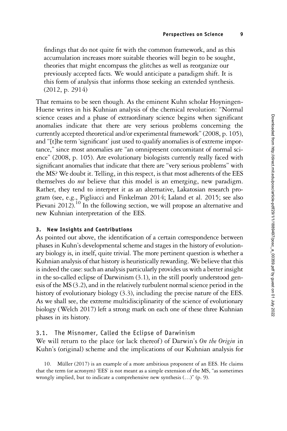findings that do not quite fit with the common framework, and as this accumulation increases more suitable theories will begin to be sought, theories that might encompass the glitches as well as reorganize our previously accepted facts. We would anticipate a paradigm shift. It is this form of analysis that informs those seeking an extended synthesis. (2012, p. 2914)

That remains to be seen though. As the eminent Kuhn scholar Hoyningen-Huene writes in his Kuhnian analysis of the chemical revolution: "Normal science ceases and a phase of extraordinary science begins when significant anomalies indicate that there are very serious problems concerning the currently accepted theoretical and/or experimental framework"(2008, p. 105), and "[t]he term 'significant' just used to qualify anomalies is of extreme importance," since most anomalies are "an omnipresent concomitant of normal science" (2008, p. 105). Are evolutionary biologists currently really faced with significant anomalies that indicate that there are "very serious problems" with the MS? We doubt it. Telling, in this respect, is that most adherents of the EES themselves do not believe that this model is an emerging, new paradigm. Rather, they tend to interpret it as an alternative, Lakatosian research program (see, e.g., Pigliucci and Finkelman 2014; Laland et al. 2015; see also Pievani 2012).<sup>10</sup> In the following section, we will propose an alternative and new Kuhnian interpretation of the EES.

### 3. New Insights and Contributions

As pointed out above, the identification of a certain correspondence between phases in Kuhn's developmental scheme and stages in the history of evolutionary biology is, in itself, quite trivial. The more pertinent question is whether a Kuhnian analysis of that history is heuristically rewarding. We believe that this is indeed the case: such an analysis particularly provides us with a better insight in the so-called eclipse of Darwinism (3.1), in the still poorly understood genesis of the MS (3.2), and in the relatively turbulent normal science period in the history of evolutionary biology (3.3), including the precise nature of the EES. As we shall see, the extreme multidisciplinarity of the science of evolutionary biology (Welch 2017) left a strong mark on each one of these three Kuhnian phases in its history.

## 3.1. The Misnomer, Called the Eclipse of Darwinism

We will return to the place (or lack thereof) of Darwin's On the Origin in Kuhn's (original) scheme and the implications of our Kuhnian analysis for

10. Müller (2017) is an example of a more ambitious proponent of an EES. He claims that the term (or acronym) 'EES' is not meant as a simple extension of the MS, "as sometimes wrongly implied, but to indicate a comprehensive new synthesis (…)" (p. 9).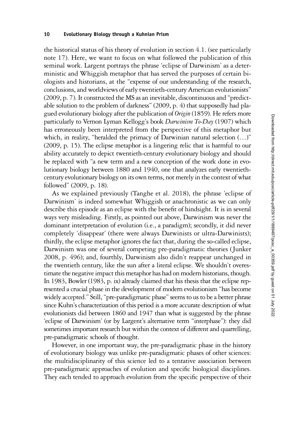the historical status of his theory of evolution in section 4.1. (see particularly note 17). Here, we want to focus on what followed the publication of this seminal work. Largent portrays the phrase 'eclipse of Darwinism' as a deterministic and Whiggish metaphor that has served the purposes of certain biologists and historians, at the "expense of our understanding of the research, conclusions, and worldviews of early twentieth-century American evolutionists" (2009, p. 7). It constructed the MS as an inevitable, discontinuous and "predictable solution to the problem of darkness" (2009, p. 4) that supposedly had plagued evolutionary biology after the publication of Origin (1859). He refers more particularly to Vernon Lyman Kellogg's book Darwinism To-Day (1907) which has erroneously been interpreted from the perspective of this metaphor but which, in reality, "heralded the primacy of Darwinian natural selection  $(\ldots)$ " (2009, p. 15). The eclipse metaphor is a lingering relic that is harmful to our ability accurately to depict twentieth-century evolutionary biology and should be replaced with "a new term and a new conception of the work done in evolutionary biology between 1880 and 1940, one that analyzes early twentiethcentury evolutionary biology on its own terms, not merely in the context of what followed" (2009, p. 18).

As we explained previously (Tanghe et al. 2018), the phrase 'eclipse of Darwinism' is indeed somewhat Whiggish or anachronistic as we can only describe this episode as an eclipse with the benefit of hindsight. It is in several ways very misleading. Firstly, as pointed out above, Darwinism was never the dominant interpretation of evolution (i.e., a paradigm); secondly, it did never completely 'disappear' (there were always Darwinists or ultra-Darwinists); thirdly, the eclipse metaphor ignores the fact that, during the so-called eclipse, Darwinism was one of several competing pre-paradigmatic theories (Junker 2008, p. 496); and, fourthly, Darwinism also didn't reappear unchanged in the twentieth century, like the sun after a literal eclipse. We shouldn't overestimate the negative impact this metaphor has had on modern historians, though. In 1983, Bowler (1983, p. ix) already claimed that his thesis that the eclipse represented a crucial phase in the development of modern evolutionism "has become widely accepted." Still, "pre-paradigmatic phase" seems to us to be a better phrase since Kuhn's characterization of this period is a more accurate description of what evolutionists did between 1860 and 1947 than what is suggested by the phrase 'eclipse of Darwinism' (or by Largent's alternative term "interphase"): they did sometimes important research but within the context of different and quarrelling, pre-paradigmatic schools of thought.

However, in one important way, the pre-paradigmatic phase in the history of evolutionary biology was unlike pre-paradigmatic phases of other sciences: the multidisciplinarity of this science led to a tentative association between pre-paradigmatic approaches of evolution and specific biological disciplines. They each tended to approach evolution from the specific perspective of their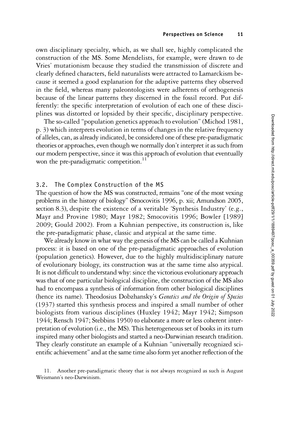own disciplinary specialty, which, as we shall see, highly complicated the construction of the MS. Some Mendelists, for example, were drawn to de Vries' mutationism because they studied the transmission of discrete and clearly defined characters, field naturalists were attracted to Lamarckism because it seemed a good explanation for the adaptive patterns they observed in the field, whereas many paleontologists were adherents of orthogenesis because of the linear patterns they discerned in the fossil record. Put differently: the specific interpretation of evolution of each one of these disciplines was distorted or lopsided by their specific, disciplinary perspective.

The so-called "population genetics approach to evolution" (Michod 1981, p. 3) which interprets evolution in terms of changes in the relative frequency of alleles, can, as already indicated, be considered one of these pre-paradigmatic theories or approaches, even though we normally don't interpret it as such from our modern perspective, since it was this approach of evolution that eventually won the pre-paradigmatic competition.<sup>11</sup>

### 3.2. The Complex Construction of the MS

The question of how the MS was constructed, remains "one of the most vexing problems in the history of biology" (Smocovitis 1996, p. xii; Amundson 2005, section 8.3), despite the existence of a veritable 'Synthesis Industry' (e.g., Mayr and Provine 1980; Mayr 1982; Smocovitis 1996; Bowler [1989] 2009; Gould 2002). From a Kuhnian perspective, its construction is, like the pre-paradigmatic phase, classic and atypical at the same time.

We already know in what way the genesis of the MS can be called a Kuhnian process: it is based on one of the pre-paradigmatic approaches of evolution (population genetics). However, due to the highly multidisciplinary nature of evolutionary biology, its construction was at the same time also atypical. It is not difficult to understand why: since the victorious evolutionary approach was that of one particular biological discipline, the construction of the MS also had to encompass a synthesis of information from other biological disciplines (hence its name). Theodosius Dobzhansky's Genetics and the Origin of Species (1937) started this synthesis process and inspired a small number of other biologists from various disciplines (Huxley 1942; Mayr 1942; Simpson 1944; Rensch 1947; Stebbins 1950) to elaborate a more or less coherent interpretation of evolution (i.e., the MS). This heterogeneous set of books in its turn inspired many other biologists and started a neo-Darwinian research tradition. They clearly constitute an example of a Kuhnian "universally recognized scientific achievement"and at the same time also form yet another reflection of the

11. Another pre-paradigmatic theory that is not always recognized as such is August Weismann's neo-Darwinism.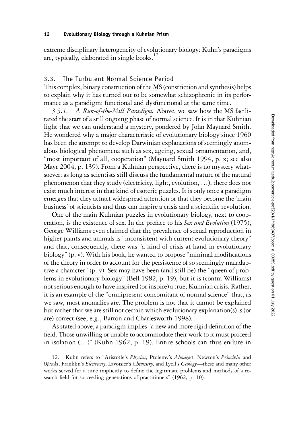extreme disciplinary heterogeneity of evolutionary biology: Kuhn's paradigms are, typically, elaborated in single books.<sup>12</sup>

## 3.3. The Turbulent Normal Science Period

This complex, binary construction of the MS (constriction and synthesis) helps to explain why it has turned out to be somewhat schizophrenic in its performance as a paradigm: functional and dysfunctional at the same time.

3.3.1. A Run-of-the-Mill Paradigm. Above, we saw how the MS facilitated the start of a still ongoing phase of normal science. It is in that Kuhnian light that we can understand a mystery, pondered by John Maynard Smith. He wondered why a major characteristic of evolutionary biology since 1960 has been the attempt to develop Darwinian explanations of seemingly anomalous biological phenomena such as sex, ageing, sexual ornamentation, and, "most important of all, cooperation" (Maynard Smith 1994, p. x; see also Mayr 2004, p. 139). From a Kuhnian perspective, there is no mystery whatsoever: as long as scientists still discuss the fundamental nature of the natural phenomenon that they study (electricity, light, evolution, …), there does not exist much interest in that kind of esoteric puzzles. It is only once a paradigm emerges that they attract widespread attention or that they become the 'main business' of scientists and thus can inspire a crisis and a scientific revolution.

One of the main Kuhnian puzzles in evolutionary biology, next to cooperation, is the existence of sex. In the preface to his Sex and Evolution (1975), George Williams even claimed that the prevalence of sexual reproduction in higher plants and animals is "inconsistent with current evolutionary theory" and that, consequently, there was "a kind of crisis at hand in evolutionary biology"(p. v). With his book, he wanted to propose "minimal modifications of the theory in order to account for the persistence of so seemingly maladaptive a character" (p. v). Sex may have been (and still be) the "queen of problems in evolutionary biology" (Bell 1982, p. 19), but it is (contra Williams) not serious enough to have inspired (or inspire) a true, Kuhnian crisis. Rather, it is an example of the "omnipresent concomitant of normal science" that, as we saw, most anomalies are. The problem is not that it cannot be explained but rather that we are still not certain which evolutionary explanation(s) is (or are) correct (see, e.g., Barton and Charlesworth 1998).

As stated above, a paradigm implies"a new and more rigid definition of the field. Those unwilling or unable to accommodate their work to it must proceed in isolation (…)" (Kuhn 1962, p. 19). Entire schools can thus endure in

12. Kuhn refers to "Aristotle's Physica, Ptolemy's Almagest, Newton's Principia and Opticks, Franklin's Electricity, Lavoisier's Chemistry, and Lyell's Geology-these and many other works served for a time implicitly to define the legitimate problems and methods of a research field for succeeding generations of practitioners" (1962, p. 10).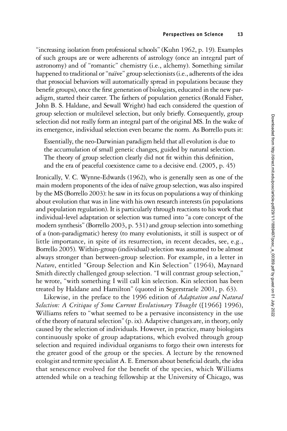"increasing isolation from professional schools" (Kuhn 1962, p. 19). Examples of such groups are or were adherents of astrology (once an integral part of astronomy) and of "romantic" chemistry (i.e., alchemy). Something similar happened to traditional or "naïve" group selectionists (i.e., adherents of the idea that prosocial behaviors will automatically spread in populations because they benefit groups), once the first generation of biologists, educated in the new paradigm, started their career. The fathers of population genetics (Ronald Fisher, John B. S. Haldane, and Sewall Wright) had each considered the question of group selection or multilevel selection, but only briefly. Consequently, group selection did not really form an integral part of the original MS. In the wake of its emergence, individual selection even became the norm. As Borrello puts it:

Essentially, the neo-Darwinian paradigm held that all evolution is due to the accumulation of small genetic changes, guided by natural selection. The theory of group selection clearly did not fit within this definition, and the era of peaceful coexistence came to a decisive end. (2005, p. 45)

Ironically, V. C. Wynne-Edwards (1962), who is generally seen as one of the main modern proponents of the idea of naïve group selection, was also inspired by the MS (Borrello 2003): he saw in its focus on populations a way of thinking about evolution that was in line with his own research interests (in populations and population regulation). It is particularly through reactions to his work that individual-level adaptation or selection was turned into "a core concept of the modern synthesis" (Borrello 2003, p. 531) and group selection into something of a (non-paradigmatic) heresy (to many evolutionists, it still is suspect or of little importance, in spite of its resurrection, in recent decades, see, e.g., Borrello 2005). Within-group (individual) selection was assumed to be almost always stronger than between-group selection. For example, in a letter in Nature, entitled "Group Selection and Kin Selection" (1964), Maynard Smith directly challenged group selection. "I will contrast group selection," he wrote, "with something I will call kin selection. Kin selection has been treated by Haldane and Hamilton" (quoted in Segerstraele 2001, p. 63).

Likewise, in the preface to the 1996 edition of Adaptation and Natural Selection: A Critique of Some Current Evolutionary Thought ([1966] 1996), Williams refers to "what seemed to be a pervasive inconsistency in the use of the theory of natural selection"(p. ix). Adaptive changes are, in theory, only caused by the selection of individuals. However, in practice, many biologists continuously spoke of group adaptations, which evolved through group selection and required individual organisms to forgo their own interests for the greater good of the group or the species. A lecture by the renowned ecologist and termite specialist A. E. Emerson about beneficial death, the idea that senescence evolved for the benefit of the species, which Williams attended while on a teaching fellowship at the University of Chicago, was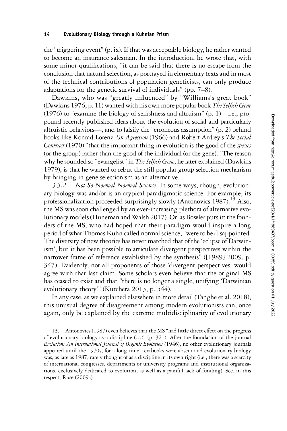the"triggering event"(p. ix). If that was acceptable biology, he rather wanted to become an insurance salesman. In the introduction, he wrote that, with some minor qualifications, "it can be said that there is no escape from the conclusion that natural selection, as portrayed in elementary texts and in most of the technical contributions of population geneticists, can only produce adaptations for the genetic survival of individuals" (pp. 7–8).

Dawkins, who was "greatly influenced" by "Williams's great book" (Dawkins 1976, p. 11) wanted with his own more popular book The Selfish Gene (1976) to "examine the biology of selfishness and altruism" (p. 1)—i.e., propound recently published ideas about the evolution of social and particularly altruistic behaviors—, and to falsify the "erroneous assumption" (p. 2) behind books like Konrad Lorenz' On Agression (1966) and Robert Ardrey's The Social Contract (1970) "that the important thing in evolution is the good of the species (or the group) rather than the good of the individual (or the gene)." The reason why he sounded so "evangelist" in The Selfish Gene, he later explained (Dawkins 1979), is that he wanted to rebut the still popular group selection mechanism by bringing in gene selectionism as an alternative.

3.3.2. Not-So-Normal Normal Science. In some ways, though, evolutionary biology was and/or is an atypical paradigmatic science. For example, its professionalization proceeded surprisingly slowly (Antonovics 1987).<sup>13</sup> Also, the MS was soon challenged by an ever-increasing plethora of alternative evolutionary models (Huneman and Walsh 2017). Or, as Bowler puts it: the founders of the MS, who had hoped that their paradigm would inspire a long period of what Thomas Kuhn called normal science,"were to be disappointed. The diversity of new theories has never matched that of the'eclipse of Darwinism', but it has been possible to articulate divergent perspectives within the narrower frame of reference established by the synthesis" ([1989] 2009, p. 347). Evidently, not all proponents of those 'divergent perspectives' would agree with that last claim. Some scholars even believe that the original MS has ceased to exist and that "there is no longer a single, unifying 'Darwinian evolutionary theory'" (Kutchera 2013, p. 544).

In any case, as we explained elsewhere in more detail (Tanghe et al. 2018), this unusual degree of disagreement among modern evolutionists can, once again, only be explained by the extreme multidisciplinarity of evolutionary

13. Antonovics (1987) even believes that the MS "had little direct effect on the progress of evolutionary biology as a discipline (…)" (p. 321). After the foundation of the journal Evolution: An International Journal of Organic Evolution (1946), no other evolutionary journals appeared until the 1970s; for a long time, textbooks were absent and evolutionary biology was, as late as 1987, rarely thought of as a discipline in its own right (i.e., there was a scarcity of international congresses, departments or university programs and institutional organizations, exclusively dedicated to evolution, as well as a painful lack of funding). See, in this respect, Ruse (2009a).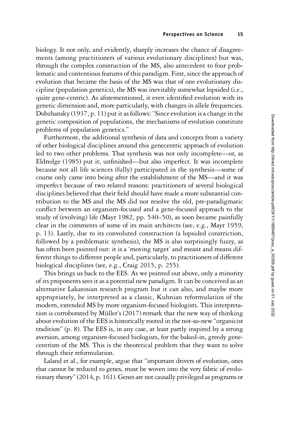biology. It not only, and evidently, sharply increases the chance of disagreements (among practitioners of various evolutionary disciplines) but was, through the complex construction of the MS, also antecedent to four problematic and contentious features of this paradigm. First, since the approach of evolution that became the basis of the MS was that of one evolutionary discipline (population genetics), the MS was inevitably somewhat lopsided (i.e., quite gene-centric). As aforementioned, it even identified evolution with its genetic dimension and, more particularly, with changes in allele frequencies. Dobzhansky (1937, p. 11) put it as follows:"Since evolution is a change in the genetic composition of populations, the mechanisms of evolution constitute problems of population genetics."

Furthermore, the additional synthesis of data and concepts from a variety of other biological disciplines around this genecentric approach of evolution led to two other problems. That synthesis was not only incomplete—or, as Eldredge (1985) put it, unfinished—but also imperfect. It was incomplete because not all life sciences (fully) participated in the synthesis—some of course only came into being after the establishment of the MS—and it was imperfect because of two related reasons: practitioners of several biological disciplines believed that their field should have made a more substantial contribution to the MS and the MS did not resolve the old, pre-paradigmatic conflict between an organism-focused and a gene-focused approach to the study of (evolving) life (Mayr 1982, pp. 540–50), as soon became painfully clear in the comments of some of its main architects (see, e.g., Mayr 1959, p. 13). Lastly, due to its convoluted construction (a lopsided constriction, followed by a problematic synthesis), the MS is also surprisingly fuzzy, as has often been pointed out: it is a 'moving target' and meant and means different things to different people and, particularly, to practitioners of different biological disciplines (see, e.g., Craig 2015, p. 255).

This brings us back to the EES. As we pointed out above, only a minority of its proponents sees it as a potential new paradigm. It can be conceived as an alternative Lakatosian research program but it can also, and maybe more appropriately, be interpreted as a classic, Kuhnian reformulation of the modern, extended MS by more organism-focused biologists. This interpretation is corroborated by Müller's (2017) remark that the new way of thinking about evolution of the EES is historically rooted in the not-so-new "organicist tradition" (p. 8). The EES is, in any case, at least partly inspired by a strong aversion, among organism-focused biologists, for the baked-in, greedy genecentrism of the MS. This is the theoretical problem that they want to solve through their reformulation.

Laland et al., for example, argue that "important drivers of evolution, ones that cannot be reduced to genes, must be woven into the very fabric of evolutionary theory"(2014, p. 161). Genes are not causally privileged as programs or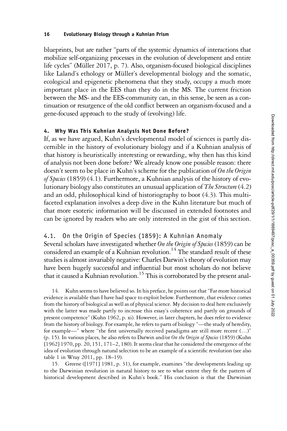blueprints, but are rather "parts of the systemic dynamics of interactions that mobilize self-organizing processes in the evolution of development and entire life cycles" (Müller 2017, p. 7). Also, organism-focused biological disciplines like Laland's ethology or Müller's developmental biology and the somatic, ecological and epigenetic phenomena that they study, occupy a much more important place in the EES than they do in the MS. The current friction between the MS- and the EES-community can, in this sense, be seen as a continuation or resurgence of the old conflict between an organism-focused and a gene-focused approach to the study of (evolving) life.

# 4. Why Was This Kuhnian Analysis Not Done Before?

If, as we have argued, Kuhn's developmental model of sciences is partly discernible in the history of evolutionary biology and if a Kuhnian analysis of that history is heuristically interesting or rewarding, why then has this kind of analysis not been done before? We already know one possible reason: there doesn't seem to be place in Kuhn's scheme for the publication of On the Origin of Species (1859) (4.1). Furthermore, a Kuhnian analysis of the history of evolutionary biology also constitutes an unusual application of The Structure (4.2) and an odd, philosophical kind of historiography to boot (4.3). This multifaceted explanation involves a deep dive in the Kuhn literature but much of that more esoteric information will be discussed in extended footnotes and can be ignored by readers who are only interested in the gist of this section.

# 4.1. On the Origin of Species (1859): A Kuhnian Anomaly

Several scholars have investigated whether On the Origin of Species (1859) can be considered an example of a Kuhnian revolution.<sup>14</sup> The standard result of these studies is almost invariably negative: Charles Darwin's theory of evolution may have been hugely successful and influential but most scholars do not believe that it caused a Kuhnian revolution.<sup>15</sup> This is corroborated by the present anal-

14. Kuhn seems to have believed so. In his preface, he points out that"Far more historical evidence is available than I have had space to exploit below. Furthermore, that evidence comes from the history of biological as well as of physical science. My decision to deal here exclusively with the latter was made partly to increase this essay's coherence and partly on grounds of present competence" (Kuhn 1962, p. xi). However, in later chapters, he does refer to evidence from the history of biology. For example, he refers to parts of biology "—the study of heredity, for example—" where "the first universally received paradigms are still more recent (…)" (p. 15). In various places, he also refers to Darwin and/or On the Origin of Species (1859) (Kuhn [1962] 1970, pp. 20, 151, 171–2, 180). It seems clear that he considered the emergence of the idea of evolution through natural selection to be an example of a scientific revolution (see also table 1 in Wray 2011, pp. 18–19).

15. Greene ([1971] 1981, p. 31), for example, examines "the developments leading up to the Darwinian revolution in natural history to see to what extent they fit the pattern of historical development described in Kuhn's book." His conclusion is that the Darwinian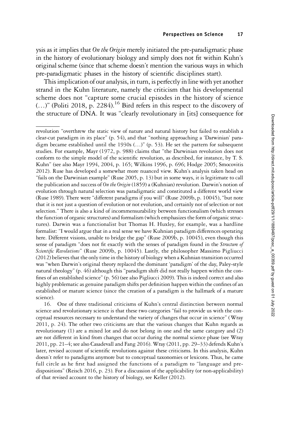ysis as it implies that On the Origin merely initiated the pre-paradigmatic phase in the history of evolutionary biology and simply does not fit within Kuhn's original scheme (since that scheme doesn't mention the various ways in which pre-paradigmatic phases in the history of scientific disciplines start).

This implication of our analysis, in turn, is perfectly in line with yet another strand in the Kuhn literature, namely the criticism that his developmental scheme does not "capture some crucial episodes in the history of science  $(...)$ " (Politi 2018, p. 2284).<sup>16</sup> Bird refers in this respect to the discovery of the structure of DNA. It was "clearly revolutionary in [its] consequence for

16. One of three traditional criticisms of Kuhn's central distinction between normal science and revolutionary science is that these two categories "fail to provide us with the conceptual resources necessary to understand the variety of changes that occur in science" (Wray 2011, p. 24). The other two criticisms are that the various changes that Kuhn regards as revolutionary (1) are a mixed lot and do not belong in one and the same category and (2) are not different in kind from changes that occur during the normal science phase (see Wray 2011, pp. 21–4; see also Casadevall and Fang 2016). Wray (2011, pp. 29–33) defends Kuhn's later, revised account of scientific revolutions against these criticisms. In this analysis, Kuhn doesn't refer to paradigms anymore but to conceptual taxonomies or lexicons. Thus, he came full circle as he first had assigned the functions of a paradigm to "language and predispositions" (Reisch 2016, p. 23). For a discussion of the applicability (or non-applicability) of that revised account to the history of biology, see Keller (2012).

revolution "overthrew the static view of nature and natural history but failed to establish a clear-cut paradigm in its place" (p. 54), and that "nothing approaching a 'Darwinian' paradigm became established until the 1930s (…)" (p. 53). He set the pattern for subsequent studies. For example, Mayr (1972, p. 988) claims that "the Darwinian revolution does not conform to the simple model of the scientific revolution, as described, for instance, by T. S. Kuhn" (see also Mayr 1994, 2004, p. 165; Wilkins 1996, p. 696; Hodge 2005; Smocovitis 2012). Ruse has developed a somewhat more nuanced view. Kuhn's analysis taken head on "fails on the Darwinian example" (Ruse 2005, p. 13) but in some ways, it is legitimate to call the publication and success of On the Origin (1859) a (Kuhnian) revolution. Darwin's notion of evolution through natural selection was paradigmatic and constituted a different world view (Ruse 1989). There were "different paradigms if you will" (Ruse 2009b, p. 10045), "but note that it is not just a question of evolution or not evolution, and certainly not of selection or not selection." There is also a kind of incommensurability between functionalism (which stresses the function of organic structures) and formalism (which emphasizes the form of organic structures). Darwin was a functionalist but Thomas H. Huxley, for example, was a hardline formalist: "I would argue that in a real sense we have Kuhnian paradigm differences operating here. Different visions, unable to bridge the gap" (Ruse 2009b, p. 10045), even though this sense of paradigm "does not fit exactly with the senses of paradigm found in the Structure of Scientific Revolutions" (Ruse 2009b, p. 10045). Lastly, the philosopher Massimo Pigliucci (2012) believes that the only time in the history of biology when a Kuhnian transition occurred was "when Darwin's original theory replaced the dominant 'paradigm' of the day, Paley-style natural theology" (p. 46) although this "paradigm shift did not really happen within the confines of an established science" (p. 56) (see also Pigliucci 2009). This is indeed correct and also highly problematic as genuine paradigm shifts per definition happen within the confines of an established or mature science (since the creation of a paradigm is the hallmark of a mature science).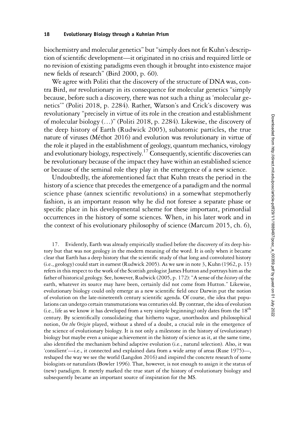biochemistry and molecular genetics" but"simply does not fit Kuhn's description of scientific development—it originated in no crisis and required little or no revision of existing paradigms even though it brought into existence major new fields of research" (Bird 2000, p. 60).

We agree with Politi that the discovery of the structure of DNA was, contra Bird, not revolutionary in its consequence for molecular genetics "simply because, before such a discovery, there was not such a thing as 'molecular genetics'" (Politi 2018, p. 2284). Rather, Watson's and Crick's discovery was revolutionary "precisely in virtue of its role in the creation and establishment of molecular biology (…)" (Politi 2018, p. 2284). Likewise, the discovery of the deep history of Earth (Rudwick 2005), subatomic particles, the true nature of viruses (Méthot 2016) and evolution was revolutionary in virtue of the role it played in the establishment of geology, quantum mechanics, virology and evolutionary biology, respectively.<sup>17</sup> Consequently, scientific discoveries can be revolutionary because of the impact they have within an established science or because of the seminal role they play in the emergence of a new science.

Undoubtedly, the aforementioned fact that Kuhn treats the period in the history of a science that precedes the emergence of a paradigm and the normal science phase (annex scientific revolutions) in a somewhat stepmotherly fashion, is an important reason why he did not foresee a separate phase or specific place in his developmental scheme for these important, primordial occurrences in the history of some sciences. When, in his later work and in the context of his evolutionary philosophy of science (Marcum 2015, ch. 6),

17. Evidently, Earth was already empirically studied before the discovery of its deep history but that was not geology in the modern meaning of the word. It is only when it became clear that Earth has a deep history that the scientific study of that long and convoluted history (i.e., geology) could start in earnest (Rudwick 2005). As we saw in note 3, Kuhn (1962, p. 15) refers in this respect to the work of the Scottish geologist James Hutton and portrays him as the father of historical geology. See, however, Rudwick (2005, p. 172): "A sense of the history of the earth, whatever its source may have been, certainly did not come from Hutton." Likewise, evolutionary biology could only emerge as a new scientific field once Darwin put the notion of evolution on the late-nineteenth century scientific agenda. Of course, the idea that populations can undergo certain transmutations was centuries old. By contrast, the idea of evolution (i.e., life as we know it has developed from a very simple beginning) only dates from the  $18<sup>th</sup>$ century. By scientifically consolidating that hitherto vague, unorthodox and philosophical notion, On the Origin played, without a shred of a doubt, a crucial role in the emergence of the science of evolutionary biology. It is not only a milestone in the history of (evolutionary) biology but maybe even a unique achievement in the history of science as it, at the same time, also identified the mechanism behind adaptive evolution (i.e., natural selection). Also, it was 'consilient'—i.e., it connected and explained data from a wide array of areas (Ruse 1975)—, reshaped the way we see the world (Langdon 2016) and inspired the concrete research of some biologists or naturalists (Bowler 1996). That, however, is not enough to assign it the status of (new) paradigm. It merely marked the true start of the history of evolutionary biology and subsequently became an important source of inspiration for the MS.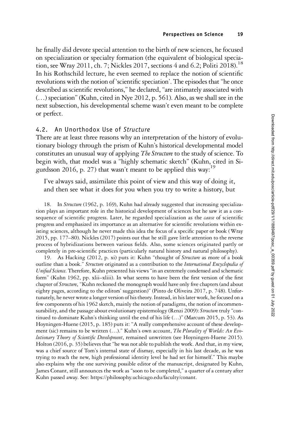he finally did devote special attention to the birth of new sciences, he focused on specialization or specialty formation (the equivalent of biological speciation, see Wray 2011, ch. 7; Nickles 2017, sections 4 and 6.2; Politi 2018).<sup>18</sup> In his Rothschild lecture, he even seemed to replace the notion of scientific revolutions with the notion of 'scientific speciation'. The episodes that"he once described as scientific revolutions," he declared, "are intimately associated with (…) speciation"(Kuhn, cited in Nye 2012, p. 561). Also, as we shall see in the next subsection, his developmental scheme wasn't even meant to be complete or perfect.

## 4.2. An Unorthodox Use of Structure

There are at least three reasons why an interpretation of the history of evolutionary biology through the prism of Kuhn's historical developmental model constitutes an unusual way of applying *The Structure* to the study of science. To begin with, that model was a "highly schematic sketch" (Kuhn, cited in Sigurdsson 2016, p. 27) that wasn't meant to be applied this way:<sup>19</sup>

I've always said, assimilate this point of view and this way of doing it, and then see what it does for you when you try to write a history, but

18. In Structure (1962, p. 169), Kuhn had already suggested that increasing specialization plays an important role in the historical development of sciences but he saw it as a consequence of scientific progress. Later, he regarded specialization as the *cause* of scientific progress and emphasized its importance as an alternative for scientific revolutions within existing sciences, although he never made this idea the focus of a specific paper or book (Wray 2015, pp. 177–80). Nickles (2017) points out that he still gave little attention to the reverse process of hybridizations between various fields. Also, some sciences originated partly or completely in pre-scientific practices (particularly natural history and natural philosophy).

19. As Hacking (2012, p. xi) puts it: Kuhn "thought of *Structure* as more of a book outline than a book." Structure originated as a contribution to the International Encyclopedia of Unified Science. Therefore, Kuhn presented his views "in an extremely condensed and schematic form" (Kuhn 1962, pp. xlii–xliii). In what seems to have been the first version of the first chapter of Structure, "Kuhn reckoned the monograph would have only five chapters (and about eighty pages, according to the editors' suggestion)" (Pinto de Oliveira 2017, p. 748). Unfortunately, he never wrote a longer version of his theory. Instead, in his later work, he focused on a few components of his 1962 sketch, mainly the notion of paradigms, the notion of incommensurability, and the passage about evolutionary epistemology (Renzi 2009): Structure truly "continued to dominate Kuhn's thinking until the end of his life (…)" (Marcum 2015, p. 53). As Hoyningen-Huene (2015, p. 185) puts it: "A really comprehensive account of these development (sic) remains to be written (...)." Kuhn's own account, The Plurality of Worlds: An Evolutionary Theory of Scientific Development, remained unwritten (see Hoyningen-Huene 2015). Holton (2016, p. 35) believes that "he was not able to publish the work. And that, in my view, was a chief source of Tom's internal state of dismay, especially in his last decade, as he was trying to reach the new, high professional identity level he had set for himself." This maybe also explains why the one surviving possible editor of the manuscript, designated by Kuhn, James Conant, still announces the work as "soon to be completed," a quarter of a century after Kuhn passed away. See:<https://philosophy.uchicago.edu/faculty/conant>.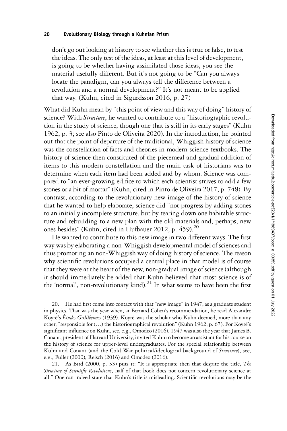don't go out looking at history to see whether this is true or false, to test the ideas. The only test of the ideas, at least at this level of development, is going to be whether having assimilated those ideas, you see the material usefully different. But it's not going to be "Can you always locate the paradigm, can you always tell the difference between a revolution and a normal development?" It's not meant to be applied that way. (Kuhn, cited in Sigurdsson 2016, p. 27)

What did Kuhn mean by "this point of view and this way of doing" history of science? With *Structure*, he wanted to contribute to a "historiographic revolution in the study of science, though one that is still in its early stages" (Kuhn 1962, p. 3; see also Pinto de Oliveira 2020). In the introduction, he pointed out that the point of departure of the traditional, Whiggish history of science was the constellation of facts and theories in modern science textbooks. The history of science then constituted of the piecemeal and gradual addition of items to this modern constellation and the main task of historians was to determine when each item had been added and by whom. Science was compared to "an ever-growing edifice to which each scientist strives to add a few stones or a bit of mortar" (Kuhn, cited in Pinto de Oliveira 2017, p. 748). By contrast, according to the revolutionary new image of the history of science that he wanted to help elaborate, science did "not progress by adding stones to an initially incomplete structure, but by tearing down one habitable structure and rebuilding to a new plan with the old materials and, perhaps, new ones besides" (Kuhn, cited in Hufbauer 2012, p. 459).<sup>20</sup>

He wanted to contribute to this new image in two different ways. The first way was by elaborating a non-Whiggish developmental model of sciences and thus promoting an non-Whiggish way of doing history of science. The reason why scientific revolutions occupied a central place in that model is of course that they were at the heart of the new, non-gradual image of science (although it should immediately be added that Kuhn believed that most science is of the 'normal', non-revolutionary kind).<sup>21</sup> In what seems to have been the first

He had first come into contact with that "new image" in  $1947$ , as a graduate student in physics. That was the year when, at Bernard Cohen's recommendation, he read Alexandre Koyré's Études Galiléennes (1939). Koyré was the scholar who Kuhn deemed, more than any other, "responsible for (…) the historiographical revolution" (Kuhn 1962, p. 67). For Koyré's significant influence on Kuhn, see, e.g., Omodeo (2016). 1947 was also the year that James B. Conant, president of Harvard University, invited Kuhn to become an assistant for his course on the history of science for upper-level undergraduates. For the special relationship between Kuhn and Conant (and the Cold War political/ideological background of Structure), see, e.g., Fuller (2000), Reisch (2016) and Omodeo (2016).

21. As Bird (2000, p. 33) puts it: "It is appropriate then that despite the title, The Structure of Scientific Revolutions, half of that book does not concern revolutionary science at all." One can indeed state that Kuhn's title is misleading. Scientific revolutions may be the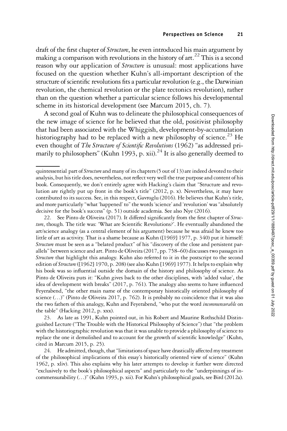draft of the first chapter of *Structure*, he even introduced his main argument by making a comparison with revolutions in the history of art.<sup>22</sup> This is a second reason why our application of *Structure* is unusual: most applications have focused on the question whether Kuhn's all-important description of the structure of scientific revolutions fits a particular revolution (e.g., the Darwinian revolution, the chemical revolution or the plate tectonics revolution), rather than on the question whether a particular science follows his developmental scheme in its historical development (see Marcum 2015, ch. 7).

A second goal of Kuhn was to delineate the philosophical consequences of the new image of science for he believed that the old, positivist philosophy that had been associated with the Whiggish, development-by-accumulation historiography had to be replaced with a new philosophy of science.<sup>25</sup> He even thought of The Structure of Scientific Revolutions (1962) "as addressed primarily to philosophers" (Kuhn 1993, p. xii).<sup>24</sup> It is also generally deemed to

22. See Pinto de Oliveira (2017). It differed significantly from the first chapter of Structure, though. The title was: 'What are Scientific Revolutions?'. He eventually abandoned the art/science analogy (as a central element of his argument) because he was afraid he knew too little of art as activity. That is a shame because as Kuhn ([1969] 1977, p. 340) put it himself: Structure must be seen as a "belated product" of his "discovery of the close and persistent parallels" between science and art. Pinto de Oliveira (2017, pp. 758–60) discusses two passages in Structure that highlight this analogy. Kuhn also referred to it in the postscript to the second edition of Structure ([1962] 1970, p. 208) (see also Kuhn [1969] 1977). It helps to explain why his book was so influential outside the domain of the history and philosophy of science. As Pinto de Oliveira puts it: "Kuhn gives back to the other disciplines, with 'added value', the idea of development with breaks" (2017, p. 761). The analogy also seems to have influenced Feyerabend, "the other main name of the contemporary historically oriented philosophy of science (...)" (Pinto de Oliveira 2017, p. 762). It is probably no coincidence that it was also the two fathers of this analogy, Kuhn and Feyerabend, "who put the word *incommensurable* on the table" (Hacking 2012, p. xxx).

23. As late as 1991, Kuhn pointed out, in his Robert and Maurine Rothschild Distinguished Lecture ("The Trouble with the Historical Philosophy of Science") that "the problem with the historiographic revolution was that it was unable to provide a philosophy of science to replace the one it demolished and to account for the growth of scientific knowledge" (Kuhn, cited in Marcum 2015, p. 25).

24. He admitted, though, that"limitations of space have drastically affected my treatment of the philosophical implications of this essay's historically oriented view of science" (Kuhn 1962, p. xliv). This also explains why his later attempts to develop it further were directed "exclusively to the book's philosophical aspects" and particularly to the "underpinnings of incommensurability (…)" (Kuhn 1993, p. xii). For Kuhn's philosophical goals, see Bird (2012a).

quintessential part of *Structure* and many of its chapters (5 out of 13) are indeed devoted to their analysis, but his title does, nevertheless, not reflect very well the true purpose and content of his book. Consequently, we don't entirely agree with Hacking's claim that "Structure and revolution are rightly put up front in the book's title" (2012, p. x). Nevertheless, it may have contributed to its success. See, in this respect, Gavroglu (2016). He believes that Kuhn's title, and more particularly "what 'happened' to" the words 'science' and 'revolution' was "absolutely decisive for the book's success" (p. 51) outside academia. See also Nye (2016).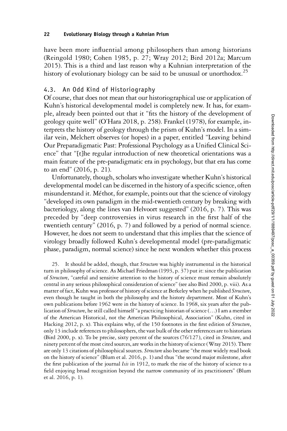have been more influential among philosophers than among historians (Reingold 1980; Cohen 1985, p. 27; Wray 2012; Bird 2012a; Marcum 2015). This is a third and last reason why a Kuhnian interpretation of the history of evolutionary biology can be said to be unusual or unorthodox.<sup>25</sup>

## 4.3. An Odd Kind of Historiography

Of course, that does not mean that our historiographical use or application of Kuhn's historical developmental model is completely new. It has, for example, already been pointed out that it "fits the history of the development of geology quite well" (O'Hara 2018, p. 258). Frankel (1978), for example, interprets the history of geology through the prism of Kuhn's model. In a similar vein, Melchert observes (or hopes) in a paper, entitled "Leaving behind Our Preparadigmatic Past: Professional Psychology as a Unified Clinical Science" that "[t]he regular introduction of new theoretical orientations was a main feature of the pre-paradigmatic era in psychology, but that era has come to an end" (2016, p. 21).

Unfortunately, though, scholars who investigate whether Kuhn's historical developmental model can be discerned in the history of a specific science, often misunderstand it. Méthot, for example, points out that the science of virology "developed its own paradigm in the mid-twentieth century by breaking with bacteriology, along the lines van Helvoort suggested" (2016, p. 7). This was preceded by "deep controversies in virus research in the first half of the twentieth century" (2016, p. 7) and followed by a period of normal science. However, he does not seem to understand that this implies that the science of virology broadly followed Kuhn's developmental model (pre-paradigmatic phase, paradigm, normal science) since he next wonders whether this process

25. It should be added, though, that *Structure* was highly instrumental in the historical turn in philosophy of science. As Michael Friedman (1993, p. 37) put it: since the publication of Structure, "careful and sensitive attention to the history of science must remain absolutely central in any serious philosophical consideration of science" (see also Bird 2000, p. viii). As a matter of fact, Kuhn was professor of history of science at Berkeley when he published Structure, even though he taught in both the philosophy and the history department. Most of Kuhn's own publications before 1962 were in the history of science. In 1968, six years after the publication of Structure, he still called himself"a practicing historian of science (…) I am a member of the American Historical, not the American Philosophical, Association" (Kuhn, cited in Hacking 2012, p. x). This explains why, of the 150 footnotes in the first edition of *Structure*, only 13 include references to philosophers, the vast bulk of the other references are to historians (Bird 2000, p. x). To be precise, sixty percent of the sources  $(76/127)$ , cited in *Structure*, and ninety percent of the most cited sources, are works in the history of science (Wray 2015). There are only 13 citations of philosophical sources. Structure also became "the most widely read book on the history of science" (Blum et al. 2016, p. 1) and thus "the second major milestone, after the first publication of the journal Isis in 1912, to mark the rise of the history of science to a field enjoying broad recognition beyond the narrow community of its practitioners" (Blum et al. 2016, p. 1).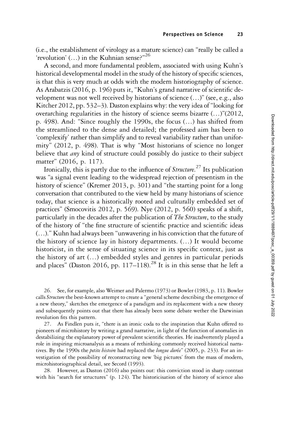(i.e., the establishment of virology as a mature science) can "really be called a 'revolution' (...) in the Kuhnian sense?"<sup>26</sup>

A second, and more fundamental problem, associated with using Kuhn's historical developmental model in the study of the history of specific sciences, is that this is very much at odds with the modern historiography of science. As Arabatzis (2016, p. 196) puts it, "Kuhn's grand narrative of scientific development was not well received by historians of science (…)" (see, e.g., also Kitcher 2012, pp. 532–3). Daston explains why: the very idea of"looking for overarching regularities in the history of science seems bizarre (…)"(2012, p. 498). And: "Since roughly the 1990s, the focus (…) has shifted from the streamlined to the dense and detailed; the professed aim has been to 'complexify' rather than simplify and to reveal variability rather than uniformity" (2012, p. 498). That is why "Most historians of science no longer believe that *any* kind of structure could possibly do justice to their subject matter" (2016, p. 117).

Ironically, this is partly due to the influence of *Structure*.<sup>27</sup> Its publication was "a signal event leading to the widespread rejection of presentism in the history of science" (Kremer 2013, p. 301) and "the starting point for a long conversation that contributed to the view held by many historians of science today, that science is a historically rooted and culturally embedded set of practices" (Smocovitis 2012, p. 569). Nye (2012, p. 560) speaks of a shift, particularly in the decades after the publication of The Structure, to the study of the history of "the fine structure of scientific practice and scientific ideas (…)." Kuhn had always been "unwavering in his conviction that the future of the history of science lay in history departments. (…) It would become historicist, in the sense of situating science in its specific context, just as the history of art (…) embedded styles and genres in particular periods and places" (Daston 2016, pp. 117–118).<sup>28</sup> It is in this sense that he left a

26. See, for example, also Weimer and Palermo (1973) or Bowler (1983, p. 11). Bowler calls Structure the best-known attempt to create a "general scheme describing the emergence of a new theory," sketches the emergence of a paradigm and its replacement with a new theory and subsequently points out that there has already been some debate wether the Darwinian revolution fits this pattern.

27. As Findlen puts it, "there is an ironic coda to the inspiration that Kuhn offered to pioneers of microhistory by writing a grand narrative, in light of the function of anomalies in destabilizing the explanatory power of prevalent scientific theories. He inadvertently played a role in inspiring microanalysis as a means of rethinking commonly received historical narratives. By the 1990s the *petite histoire* had replaced the *longue durée*" (2005, p. 233). For an investigation of the possibility of reconstructing new 'big pictures' from the mass of modern, microhistoriographical detail, see Secord (1993).

28. However, as Daston (2016) also points out: this conviction stood in sharp contrast with his "search for structures" (p. 124). The historicisation of the history of science also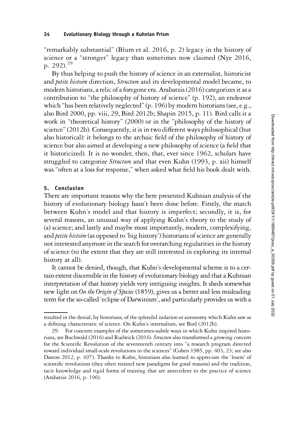"remarkably substantial" (Blum et al. 2016, p. 2) legacy in the history of science or a "stronger" legacy than sometimes now claimed (Nye 2016, p. 292).<sup>29</sup>

By thus helping to push the history of science in an externalist, historicist and *petite histoire* direction, *Structure* and its developmental model became, to modern historians, a relic of a foregone era. Arabatzis (2016) categorizes it as a contribution to "the philosophy of history of science" (p. 192), an endeavor which "has been relatively neglected" (p. 196) by modern historians (see, e.g., also Bird 2000, pp. viii, 29, Bird 2012b; Shapin 2015, p. 11). Bird calls it a work in "theoretical history" (2000) or in the "philosophy of the history of science"(2012b). Consequently, it is in two different ways philosophical (but also historical): it belongs to the archaic field of the philosophy of history of science but also aimed at developing a new philosophy of science (a field that it historicized). It is no wonder, then, that, ever since 1962, scholars have struggled to categorize *Structure* and that even Kuhn (1993, p. xii) himself was "often at a loss for response," when asked what field his book dealt with.

### 5. Conclusion

There are important reasons why the here presented Kuhnian analysis of the history of evolutionary biology hasn't been done before. Firstly, the match between Kuhn's model and that history is imperfect; secondly, it is, for several reasons, an unusual way of applying Kuhn's theory to the study of (a) science; and lastly and maybe most importantly, modern, complexifying, and *petite histoire* (as opposed to 'big history') historians of science are generally not interested anymore in the search for overarching regularities in the history of science (to the extent that they are still interested in exploring its internal history at all).

It cannot be denied, though, that Kuhn's developmental scheme is to a certain extent discernible in the history of evolutionary biology and that a Kuhnian interpretation of that history yields very intriguing insights. It sheds somewhat new light on On the Origin of Species (1859), gives us a better and less misleading term for the so-called 'eclipse of Darwinism', and particularly provides us with a

resulted in the denial, by historians, of the splendid isolation or autonomy which Kuhn saw as a defining characteristic of science. On Kuhn's internalism, see Bird (2012b).

<sup>29.</sup> For concrete examples of the sometimes-subtle ways in which Kuhn inspired historians, see Buchwald (2016) and Rudwick (2016). Structure also transformed a growing concern for the Scientific Revolution of the seventeenth century into "a research program directed toward individual small-scale revolutions in the sciences" (Cohen 1985, pp. 403, 23; see also Daston 2012, p. 497). Thanks to Kuhn, historians also learned to appreciate the 'losers' of scientific revolutions (they often resisted new paradigms for good reasons) and the tradition, tacit knowledge and rigid forms of training that are antecedent to the practice of science (Arabatzis 2016, p. 196).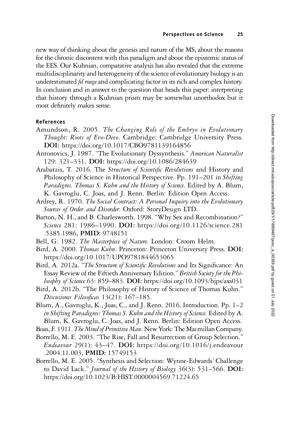new way of thinking about the genesis and nature of the MS, about the reasons for the chronic discontent with this paradigm and about the epistemic status of the EES. Our Kuhnian, comparative analysis has also revealed that the extreme multidisciplinarity and heterogeneity of the science of evolutionary biology is an underestimated *fil rouge* and complicating factor in its rich and complex history. In conclusion and in answer to the question that heads this paper: interpreting that history through a Kuhnian prism may be somewhat unorthodox but it most definitely makes sense.

### References

- Amundson, R. 2005. The Changing Role of the Embryo in Evolutionary Thought: Roots of Evo-Devo. Cambridge: Cambridge University Press. DOI: <https://doi.org/10.1017/CBO9781139164856>
- Antonovics, J. 1987. "The Evolutionary Dyssynthesis." American Naturalist 129: 321–331. DOI: <https://doi.org/10.1086/284639>
- Arabatzis, T. 2016. The Structure of Scientific Revolutions and History and Philosophy of Science in Historical Perspective. Pp. 191–201 in Shifting Paradigms. Thomas S. Kuhn and the History of Science. Edited by A. Blum, K. Gavroglu, C. Joas, and J. Renn. Berlin: Edition Open Access.
- Ardrey, R. 1970. The Social Contract: A Personal Inquiry into the Evolutionary Sources of Order and Disorder. Oxford: StoryDesign LTD.
- Barton, N. H., and B. Charlesworth. 1998. "Why Sex and Recombination?" Science 281: 1986–1990. DOI: [https://doi.org/10.1126/science.281](https://doi.org/10.1126/science.281.5385.1986) [.5385.1986,](https://doi.org/10.1126/science.281.5385.1986) PMID: [9748151](https://europepmc.org/article/MED/9748151)
- Bell, G. 1982. The Masterpiece of Nature. London: Croom Helm.
- Bird, A. 2000. Thomas Kuhn. Princeton: Princeton University Press. DOI: <https://doi.org/10.1017/UPO9781844653065>
- Bird, A. 2012a. "The Structure of Scientific Revolutions and Its Significance: An Essay Review of the Fiftieth Anniversary Edition." British Society for the Philosophy of Science 63: 859–883. DOI: <https://doi.org/10.1093/bjps/axs031>
- Bird, A. 2012b. "The Philosophy of History of Science of Thomas Kuhn." Discusiones Filosoficas 13(21): 167–185.
- Blum, A., Gavroglu, K., Joas, C., and J. Renn. 2016. Introduction. Pp. 1–2 in Shifting Paradigms: Thomas S. Kuhn and the History of Science. Edited by A. Blum, K. Gavroglu, C. Joas, and J. Renn. Berlin: Edition Open Access.
- Boas, F. 1911. The Mind of Primitive Man. New York: The Macmillan Company.
- Borrello, M. E. 2003. "The Rise, Fall and Resurrection of Group Selection." Endeavour 29(1): 43–47. DOI: [https://doi.org/10.1016/j.endeavour](https://doi.org/10.1016/j.endeavour.2004.11.003) [.2004.11.003,](https://doi.org/10.1016/j.endeavour.2004.11.003) PMID: [15749153](https://europepmc.org/article/MED/15749153)
- Borrello, M. E. 2005. "Synthesis and Selection: Wynne-Edwards' Challenge to David Lack." Journal of the History of Biology 36(3): 531-566. DOI: <https://doi.org/10.1023/B:HIST.0000004569.71224.65>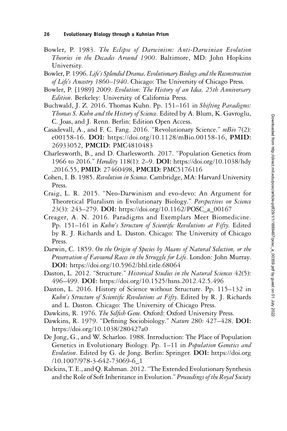- Bowler, P. 1983. The Eclipse of Darwinism: Anti-Darwinian Evolution Theories in the Decades Around 1900. Baltimore, MD: John Hopkins University.
- Bowler, P. 1996. Life's Splendid Drama, Evolutionary Biology and the Reconstruction of Life's Ancestry 1860–1940. Chicago: The University of Chicago Press.
- Bowler, P. [1989] 2009. Evolution: The History of an Idea, 25th Anniversary Edition. Berkeley: University of California Press.
- Buchwald, J. Z. 2016. Thomas Kuhn. Pp. 151-161 in Shifting Paradigms: Thomas S. Kuhn and the History of Science. Edited by A. Blum, K. Gavroglu, C. Joas, and J. Renn. Berlin: Edition Open Access.
- Casadevall, A., and F. C. Fang. 2016. "Revolutionary Science." mBio 7(2): e00158-16. DOI: [https://doi.org/10.1128/mBio.00158-16,](https://doi.org/10.1128/mBio.00158-16) PMID: [26933052](https://europepmc.org/article/MED/26933052), PMCID: [PMC4810483](https://www.ncbi.nlm.nih.gov/pmc/articles/PMC4810483)
- Charlesworth, B., and D. Charlesworth. 2017. "Population Genetics from 1966 to 2016." Heredity 118(1): 2-9. DOI: [https://doi.org/10.1038/hdy](https://doi.org/10.1038/hdy.2016.55) [.2016.55](https://doi.org/10.1038/hdy.2016.55), PMID: [27460498](https://europepmc.org/article/MED/27460498), PMCID: [PMC5176116](https://www.ncbi.nlm.nih.gov/pmc/articles/PMC5176116)
- Cohen, I. B. 1985. Revolution in Science. Cambridge, MA: Harvard University Press.
- Craig, L. R. 2015. "Neo-Darwinism and evo-devo: An Argument for Theoretical Pluralism in Evolutionary Biology." Perspectives on Science 23(3): 243–279. DOI: [https://doi.org/10.1162/POSC\\_a\\_00167](https://doi.org/10.1162/POSC_a_00167)
- Creager, A. N. 2016. Paradigms and Exemplars Meet Biomedicine. Pp. 151-161 in Kuhn's Structure of Scientific Revolutions at Fifty. Edited by R. J. Richards and L. Daston. Chicago: The University of Chicago Press.
- Darwin, C. 1859. On the Origin of Species by Means of Natural Selection, or the Preservation of Favoured Races in the Struggle for Life. London: John Murray. DOI: <https://doi.org/10.5962/bhl.title.68064>
- Daston, L. 2012. "Structure." Historical Studies in the Natural Sciences 42(5): 496–499. DOI: <https://doi.org/10.1525/hsns.2012.42.5.496>
- Daston, L. 2016. History of Science without Structure. Pp. 115–132 in Kuhn's Structure of Scientific Revolutions at Fifty. Edited by R. J. Richards and L. Daston. Chicago: The University of Chicago Press.
- Dawkins, R. 1976. The Selfish Gene. Oxford: Oxford University Press.
- Dawkins, R. 1979. "Defining Sociobiology." Nature 280: 427–428. DOI: <https://doi.org/10.1038/280427a0>
- De Jong, G., and W. Scharloo. 1988. Introduction: The Place of Population Genetics in Evolutionary Biology. Pp. 1-11 in Population Genetics and Evolution. Edited by G. de Jong. Berlin: Springer. DOI: [https://doi.org](https://doi.org/10.1007/978-3-642-73069-6_1) [/10.1007/978-3-642-73069-6\\_1](https://doi.org/10.1007/978-3-642-73069-6_1)
- Dickins, T. E., and Q. Rahman. 2012."The Extended Evolutionary Synthesis and the Role of Soft Inheritance in Evolution." Proceedings of the Royal Society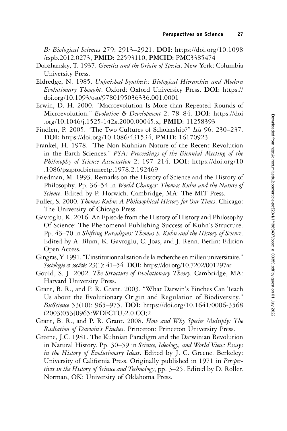B: Biological Sciences 279: 2913–2921. DOI: [https://doi.org/10.1098](https://doi.org/10.1098/rspb.2012.0273) [/rspb.2012.0273,](https://doi.org/10.1098/rspb.2012.0273) PMID: [22593110](https://europepmc.org/article/MED/22593110), PMCID: [PMC3385474](https://www.ncbi.nlm.nih.gov/pmc/articles/PMC3385474)

- Dobzhansky, T. 1937. Genetics and the Origin of Species. New York: Columbia University Press.
- Eldredge, N. 1985. Unfinished Synthesis: Biological Hierarchies and Modern Evolutionary Thought. Oxford: Oxford University Press. DOI: [https://](https://doi.org/10.1093/oso/9780195036336.001.0001) [doi.org/10.1093/oso/9780195036336.001.0001](https://doi.org/10.1093/oso/9780195036336.001.0001)
- Erwin, D. H. 2000. "Macroevolution Is More than Repeated Rounds of Microevolution." Evolution & Development 2: 78-84. DOI: [https://doi](https://doi.org/10.1046/j.1525-142x.2000.00045.x) [.org/10.1046/j.1525-142x.2000.00045.x](https://doi.org/10.1046/j.1525-142x.2000.00045.x), PMID: [11258393](https://europepmc.org/article/MED/11258393)
- Findlen, P. 2005. "The Two Cultures of Scholarship?" Isis 96: 230–237. DOI: [https://doi.org/10.1086/431534,](https://doi.org/10.1086/431534) PMID: [16170923](https://europepmc.org/article/MED/16170923)
- Frankel, H. 1978. "The Non-Kuhnian Nature of the Recent Revolution in the Earth Sciences." PSA: Proceedings of the Biennial Meeting of the Philosophy of Science Association 2: 197-214. DOI: [https://doi.org/10](https://doi.org/10.1086/psaprocbienmeetp.1978.2.192469) [.1086/psaprocbienmeetp.1978.2.192469](https://doi.org/10.1086/psaprocbienmeetp.1978.2.192469)
- Friedman, M. 1993. Remarks on the History of Science and the History of Philosophy. Pp. 36-54 in World Changes: Thomas Kuhn and the Nature of Science. Edited by P. Horwich. Cambridge, MA: The MIT Press.
- Fuller, S. 2000. Thomas Kuhn: A Philosophical History for Our Times. Chicago: The University of Chicago Press.
- Gavroglu, K. 2016. An Episode from the History of History and Philosophy Of Science: The Phenomenal Publishing Success of Kuhn's Structure. Pp. 43–70 in Shifting Paradigms: Thomas S. Kuhn and the History of Science. Edited by A. Blum, K. Gavroglu, C. Joas, and J. Renn. Berlin: Edition Open Access.
- Gingras, Y. 1991."L'institutionnalisation de la recherche en milieu universitaire." Sociologie et sociétés 23(1): 41–54. DOI: <https://doi.org/10.7202/001297ar>
- Gould, S. J. 2002. The Structure of Evolutionary Theory. Cambridge, MA: Harvard University Press.
- Grant, B. R., and P. R. Grant. 2003. "What Darwin's Finches Can Teach Us about the Evolutionary Origin and Regulation of Biodiversity." BioScience 53(10): 965–975. DOI: [https://doi.org/10.1641/0006-3568](https://doi.org/10.1641/0006-3568(2003)053<0965:WDFCTU>2.0.CO;2) [\(2003\)053\[0965:WDFCTU\]2.0.CO;2](https://doi.org/10.1641/0006-3568(2003)053<0965:WDFCTU>2.0.CO;2)
- Grant, B. R., and P. R. Grant. 2008. How and Why Species Multiply: The Radiation of Darwin's Finches. Princeton: Princeton University Press.
- Greene, J.C. 1981. The Kuhnian Paradigm and the Darwinian Revolution in Natural History. Pp. 30–59 in Science, Ideology, and World View: Essays in the History of Evolutionary Ideas. Edited by J. C. Greene. Berkeley: University of California Press. Originally published in 1971 in Perspectives in the History of Science and Technology, pp. 3–25. Edited by D. Roller. Norman, OK: University of Oklahoma Press.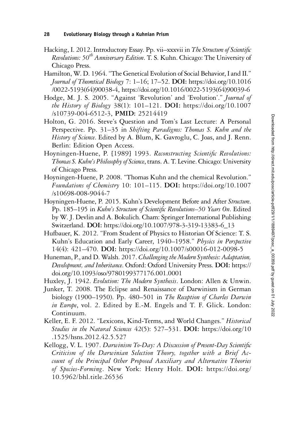- Hacking, I. 2012. Introductory Essay. Pp. vii–xxxvii in The Structure of Scientific Revolutions:  $50^{th}$  Anniversary Edition. T. S. Kuhn. Chicago: The University of Chicago Press.
- Hamilton, W. D. 1964."The Genetical Evolution of Social Behavior, I and II." Journal of Theoretical Biology 7: 1–16; 17–52. DOI: [https://doi.org/10.1016](https://doi.org/10.1016/0022-5193(64)90038-4) [/0022-5193\(64\)90038-4](https://doi.org/10.1016/0022-5193(64)90038-4), [https://doi.org/10.1016/0022-5193\(64\)90039-6](https://doi.org/10.1016/0022-5193(64)90039-6)
- Hodge, M. J. S. 2005. "Against 'Revolution' and 'Evolution'." Journal of the History of Biology 38(1): 101–121. DOI: [https://doi.org/10.1007](https://doi.org/10.1007/s10739-004-6512-3) [/s10739-004-6512-3,](https://doi.org/10.1007/s10739-004-6512-3) PMID: [25214419](https://europepmc.org/article/MED/25214419)
- Holton, G. 2016. Steve's Question and Tom's Last Lecture: A Personal Perspective. Pp. 31–35 in Shifting Paradigms: Thomas S. Kuhn and the History of Science. Edited by A. Blum, K. Gavroglu, C. Joas, and J. Renn. Berlin: Edition Open Access.
- Hoyningen-Huene, P. [1989] 1993. Reconstructing Scientific Revolutions: Thomas S. Kuhn's Philosophy of Science, trans. A. T. Levine. Chicago: University of Chicago Press.
- Hoyningen-Huene, P. 2008. "Thomas Kuhn and the chemical Revolution." Foundations of Chemistry 10: 101–115. DOI: [https://doi.org/10.1007](https://doi.org/10.1007/s10698-008-9044-7) [/s10698-008-9044-7](https://doi.org/10.1007/s10698-008-9044-7)
- Hoyningen-Huene, P. 2015. Kuhn's Development Before and After Structure. Pp. 185-195 in Kuhn's Structure of Scientific Revolutions-50 Years On. Edited by W. J. Devlin and A. Bokulich. Cham: Springer International Publishing Switzerland. DOI: [https://doi.org/10.1007/978-3-319-13383-6\\_13](https://doi.org/10.1007/978-3-319-13383-6_13)
- Hufbauer, K. 2012. "From Student of Physics to Historian Of Science: T. S. Kuhn's Education and Early Career, 1940–1958." Physics in Perspective 14(4): 421–470. DOI: <https://doi.org/10.1007/s00016-012-0098-5>
- Huneman, P., and D. Walsh. 2017. Challenging the Modern Synthesis: Adaptation, Development, and Inheritance. Oxford: Oxford University Press. DOI: [https://](https://doi.org/10.1093/oso/9780199377176.001.0001) [doi.org/10.1093/oso/9780199377176.001.0001](https://doi.org/10.1093/oso/9780199377176.001.0001)
- Huxley, J. 1942. Evolution: The Modern Synthesis. London: Allen & Unwin.
- Junker, T. 2008. The Eclipse and Renaissance of Darwinism in German biology (1900–1950). Pp. 480–501 in The Reception of Charles Darwin in Europe, vol. 2. Edited by E.-M. Engels and T. F. Glick. London: Continuum.
- Keller, E. F. 2012. "Lexicons, Kind-Terms, and World Changes." Historical Studies in the Natural Sciences 42(5): 527-531. DOI: [https://doi.org/10](https://doi.org/10.1525/hsns.2012.42.5.527) [.1525/hsns.2012.42.5.527](https://doi.org/10.1525/hsns.2012.42.5.527)
- Kellogg, V. L. 1907. Darwinism To-Day: A Discussion of Present-Day Scientific Criticism of the Darwinian Selection Theory, together with a Brief Account of the Principal Other Proposed Auxiliary and Alternative Theories of Species-Forming. New York: Henry Holt. DOI: [https://doi.org/](https://doi.org/10.5962/bhl.title.26536) [10.5962/bhl.title.26536](https://doi.org/10.5962/bhl.title.26536)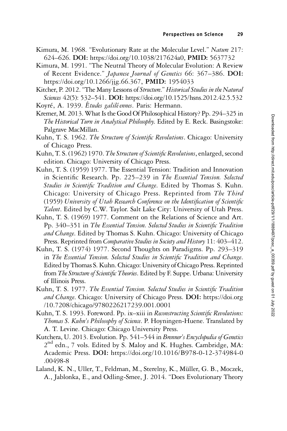- Kimura, M. 1968. "Evolutionary Rate at the Molecular Level." Nature 217: 624–626. DOI: <https://doi.org/10.1038/217624a0>, PMID: [5637732](https://europepmc.org/article/MED/5637732)
- Kimura, M. 1991. "The Neutral Theory of Molecular Evolution: A Review of Recent Evidence." Japanese Journal of Genetics 66: 367-386. DOI: <https://doi.org/10.1266/jjg.66.367>, PMID: [1954033](https://europepmc.org/article/MED/1954033)
- Kitcher, P. 2012. "The Many Lessons of Structure." Historical Studies in the Natural Sciences 42(5): 532-541. DOI: <https://doi.org/10.1525/hsns.2012.42.5.532> Koyré, A. 1939. Études galiléennes. Paris: Hermann.
- Kremer, M. 2013.What Is the Good Of Philosophical History? Pp. 294–325 in The Historical Turn in Analytical Philosophy. Edited by E. Reck. Basingstoke: Palgrave MacMillan.
- Kuhn, T. S. 1962. The Structure of Scientific Revolutions. Chicago: University of Chicago Press.
- Kuhn, T. S. (1962) 1970. The Structure of Scientific Revolutions, enlarged, second edition. Chicago: University of Chicago Press.
- Kuhn, T. S. (1959) 1977. The Essential Tension: Tradition and Innovation in Scientific Research. Pp. 225-239 in The Essential Tension. Selected Studies in Scientific Tradition and Change. Edited by Thomas S. Kuhn. Chicago: University of Chicago Press. Reprinted from The Third (1959) University of Utah Research Conference on the Identification of Scientific Talent. Edited by C.W. Taylor. Salt Lake City: University of Utah Press.
- Kuhn, T. S. (1969) 1977. Comment on the Relations of Science and Art. Pp. 340–351 in The Essential Tension. Selected Studies in Scientific Tradition and Change. Edited by Thomas S. Kuhn. Chicago: University of Chicago Press. Reprinted from Comparative Studies in Society and History 11: 403-412.
- Kuhn, T. S. (1974) 1977. Second Thoughts on Paradigms. Pp. 293–319 in The Essential Tension. Selected Studies in Scientific Tradition and Change. Edited by Thomas S. Kuhn. Chicago: University of Chicago Press. Reprinted from The Structure of Scientific Theories. Edited by F. Suppe. Urbana: University of Illinois Press.
- Kuhn, T. S. 1977. The Essential Tension. Selected Studies in Scientific Tradition and Change. Chicago: University of Chicago Press. DOI: [https://doi.org](https://doi.org/10.7208/chicago/9780226217239.001.0001) [/10.7208/chicago/9780226217239.001.0001](https://doi.org/10.7208/chicago/9780226217239.001.0001)
- Kuhn, T. S. 1993. Foreword. Pp. ix-xiii in Reconstructing Scientific Revolutions: Thomas S. Kuhn's Philosophy of Science. P. Hoyningen-Huene. Translated by A. T. Levine. Chicago: Chicago University Press.
- Kutchera, U. 2013. Evolution. Pp. 541–544 in Brenner's Encyclopedia of Genetics 2<sup>nd</sup> edn., 7 vols. Edited by S. Maloy and K. Hughes. Cambridge, MA: Academic Press. DOI: [https://doi.org/10.1016/B978-0-12-374984-0](https://doi.org/10.1016/B978-0-12-374984-0.00498-8) [.00498-8](https://doi.org/10.1016/B978-0-12-374984-0.00498-8)
- Laland, K. N., Uller, T., Feldman, M., Sterelny, K., Müller, G. B., Moczek, A., Jablonka, E., and Odling-Smee, J. 2014. "Does Evolutionary Theory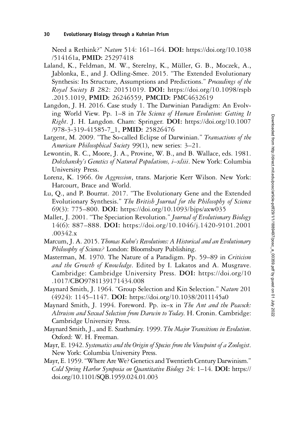Need a Rethink?" Nature 514: 161–164. DOI: [https://doi.org/10.1038](https://doi.org/10.1038/514161a) [/514161a,](https://doi.org/10.1038/514161a) PMID: [25297418](https://europepmc.org/article/MED/25297418)

- Laland, K., Feldman, M. W., Sterelny, K., Müller, G. B., Moczek, A., Jablonka, E., and J. Odling-Smee. 2015. "The Extended Evolutionary Synthesis: Its Structure, Assumptions and Predictions." Proceedings of the Royal Society B 282: 20151019. DOI: [https://doi.org/10.1098/rspb](https://doi.org/10.1098/rspb.2015.1019) [.2015.1019,](https://doi.org/10.1098/rspb.2015.1019) PMID: [26246559,](https://europepmc.org/article/MED/26246559) PMCID: [PMC4632619](https://www.ncbi.nlm.nih.gov/pmc/articles/PMC4632619)
- Langdon, J. H. 2016. Case study 1. The Darwinian Paradigm: An Evolving World View. Pp. 1–8 in The Science of Human Evolution: Getting It Right. J. H. Langdon. Cham: Springer. DOI: [https://doi.org/10.1007](https://doi.org/10.1007/978-3-319-41585-7_1) [/978-3-319-41585-7\\_1,](https://doi.org/10.1007/978-3-319-41585-7_1) PMID: [25826476](https://europepmc.org/article/MED/25826476)
- Largent, M. 2009. "The So-called Eclipse of Darwinian." Transactions of the American Philosophical Society 99(1), new series: 3-21.
- Lewontin, R. C., Moore, J. A., Provine, W. B., and B. Wallace, eds. 1981. Dobzhansky's Genetics of Natural Populations, i–xliii. New York: Columbia University Press.
- Lorenz, K. 1966. On Aggression, trans. Marjorie Kerr Wilson. New York: Harcourt, Brace and World.
- Lu, Q., and P. Bourrat. 2017. "The Evolutionary Gene and the Extended Evolutionary Synthesis." The British Journal for the Philosophy of Science 69(3): 775–800. DOI: <https://doi.org/10.1093/bjps/axw035>
- Mallet, J. 2001. "The Speciation Revolution." Journal of Evolutionary Biology 14(6): 887–888. DOI: [https://doi.org/10.1046/j.1420-9101.2001](https://doi.org/10.1046/j.1420-9101.2001.00342.x) [.00342.x](https://doi.org/10.1046/j.1420-9101.2001.00342.x)
- Marcum, J. A. 2015. Thomas Kuhn's Revolutions: A Historical and an Evolutionary Philosophy of Science? London: Bloomsbury Publishing.
- Masterman, M. 1970. The Nature of a Paradigm. Pp. 59–89 in Criticism and the Growth of Knowledge. Edited by I. Lakatos and A. Musgrave. Cambridge: Cambridge University Press. DOI: [https://doi.org/10](https://doi.org/10.1017/CBO9781139171434.008) [.1017/CBO9781139171434.008](https://doi.org/10.1017/CBO9781139171434.008)
- Maynard Smith, J. 1964. "Group Selection and Kin Selection." Nature 201 (4924): 1145–1147. DOI: <https://doi.org/10.1038/2011145a0>
- Maynard Smith, J. 1994. Foreword. Pp. ix–x in The Ant and the Peacock: Altruism and Sexual Selection from Darwin to Today. H. Cronin. Cambridge: Cambridge University Press.
- Maynard Smith, J., and E. Szathmáry. 1999. The Major Transitions in Evolution. Oxford: W. H. Freeman.
- Mayr, E. 1942. Systematics and the Origin of Species from the Viewpoint of a Zoologist. New York: Columbia University Press.
- Mayr, E. 1959."Where AreWe? Genetics and Twentieth Century Darwinism." Cold Spring Harbor Symposia on Quantitative Biology 24: 1–14. DOI: [https://](https://doi.org/10.1101/SQB.1959.024.01.003) [doi.org/10.1101/SQB.1959.024.01.003](https://doi.org/10.1101/SQB.1959.024.01.003)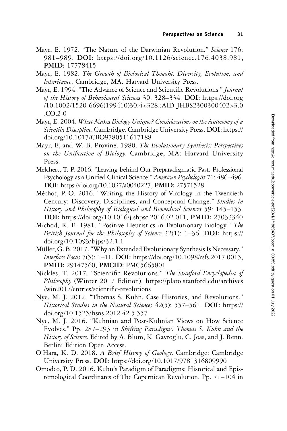- Mayr, E. 1972. "The Nature of the Darwinian Revolution." Science 176: 981–989. DOI: <https://doi.org/10.1126/science.176.4038.981>, PMID: [17778415](https://europepmc.org/article/MED/17778415)
- Mayr, E. 1982. The Growth of Biological Thought: Diversity, Evolution, and Inheritance. Cambridge, MA: Harvard University Press.
- Mayr, E. 1994. "The Advance of Science and Scientific Revolutions." Journal of the History of Behavioural Sciences 30: 328–334. DOI: [https://doi.org](https://doi.org/10.1002/1520-6696(199410)30:4<328::AID-JHBS2300300402>3.0.CO;2-0) [/10.1002/1520-6696\(199410\)30:4<328::AID-JHBS2300300402>3.0](https://doi.org/10.1002/1520-6696(199410)30:4<328::AID-JHBS2300300402>3.0.CO;2-0) [.CO;2-0](https://doi.org/10.1002/1520-6696(199410)30:4<328::AID-JHBS2300300402>3.0.CO;2-0)
- Mayr, E. 2004. What Makes Biology Unique? Considerations on the Autonomy of a Scientific Discipline. Cambridge: Cambridge University Press. DOI: [https://](https://doi.org/10.1017/CBO9780511617188) [doi.org/10.1017/CBO9780511617188](https://doi.org/10.1017/CBO9780511617188)
- Mayr, E, and W. B. Provine. 1980. The Evolutionary Synthesis: Perspectives on the Unification of Biology. Cambridge, MA: Harvard University Press.
- Melchert, T. P. 2016. "Leaving behind Our Preparadigmatic Past: Professional Psychology as a Unified Clinical Science." American Psychologist 71: 486–496. DOI: <https://doi.org/10.1037/a0040227>, PMID: [27571528](https://europepmc.org/article/MED/27571528)
- Méthot, P.-O. 2016. "Writing the History of Virology in the Twentieth Century: Discovery, Disciplines, and Conceptual Change." Studies in History and Philosophy of Biological and Biomedical Sciences 59: 145–153. DOI: <https://doi.org/10.1016/j.shpsc.2016.02.011>, PMID: [27033340](https://europepmc.org/article/MED/27033340)
- Michod, R. E. 1981. "Positive Heuristics in Evolutionary Biology." The British Journal for the Philosophy of Science 32(1): 1-36. DOI: [https://](https://doi.org/10.1093/bjps/32.1.1) [doi.org/10.1093/bjps/32.1.1](https://doi.org/10.1093/bjps/32.1.1)
- Müller, G. B. 2017. "Why an Extended Evolutionary Synthesis Is Necessary." Interface Focus 7(5): 1-11. DOI: <https://doi.org/10.1098/rsfs.2017.0015>, PMID: [29147560](https://europepmc.org/article/MED/29147560), PMCID: [PMC5665801](https://www.ncbi.nlm.nih.gov/pmc/articles/PMC5665801)
- Nickles, T. 2017. "Scientific Revolutions." The Stanford Encyclopedia of Philosophy (Winter 2017 Edition). [https://plato.stanford.edu/archives](https://plato.stanford.edu/archives/win2017/entries/scientific-revolutions) [/win2017/entries/scienti](https://plato.stanford.edu/archives/win2017/entries/scientific-revolutions)fic-revolutions
- Nye, M. J. 2012. "Thomas S. Kuhn, Case Histories, and Revolutions." Historical Studies in the Natural Sciences 42(5): 557-561. DOI: [https://](https://doi.org/10.1525/hsns.2012.42.5.557) [doi.org/10.1525/hsns.2012.42.5.557](https://doi.org/10.1525/hsns.2012.42.5.557)
- Nye, M. J. 2016. "Kuhnian and Post-Kuhnian Views on How Science Evolves." Pp. 287–293 in Shifting Paradigms: Thomas S. Kuhn and the History of Science. Edited by A. Blum, K. Gavroglu, C. Joas, and J. Renn. Berlin: Edition Open Access.
- O'Hara, K. D. 2018. A Brief History of Geology. Cambridge: Cambridge University Press. DOI: <https://doi.org/10.1017/9781316809990>
- Omodeo, P. D. 2016. Kuhn's Paradigm of Paradigms: Historical and Epistemological Coordinates of The Copernican Revolution. Pp. 71–104 in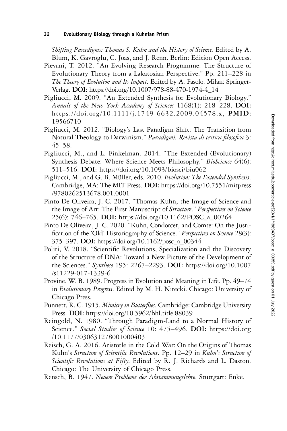Shifting Paradigms: Thomas S. Kuhn and the History of Science. Edited by A. Blum, K. Gavroglu, C. Joas, and J. Renn. Berlin: Edition Open Access.

- Pievani, T. 2012. "An Evolving Research Programme: The Structure of Evolutionary Theory from a Lakatosian Perspective." Pp. 211–228 in The Theory of Evolution and Its Impact. Edited by A. Fasolo. Milan: Springer-Verlag. DOI: [https://doi.org/10.1007/978-88-470-1974-4\\_14](https://doi.org/10.1007/978-88-470-1974-4_14)
- Pigliucci, M. 2009. "An Extended Synthesis for Evolutionary Biology." Annals of the New York Academy of Sciences 1168(1): 218-228. DOI: [https://doi.org/10.1111/j.1749-6632.2009.04578.x,](https://doi.org/10.1111/j.1749-6632.2009.04578.x) PMID: [19566710](https://europepmc.org/article/MED/19566710)
- Pigliucci, M. 2012. "Biology's Last Paradigm Shift: The Transition from Natural Theology to Darwinism." Paradigmi. Revista di critica filosofica 3: 45–58.
- Pigliucci, M., and L. Finkelman. 2014. "The Extended (Evolutionary) Synthesis Debate: Where Science Meets Philosophy." BioScience 64(6): 511–516. DOI: [https://doi.org/10.1093/biosci/biu062](https://doi.org/10.1093/biu062)
- Pigliucci, M., and G. B. Müller, eds. 2010. Evolution: The Extended Synthesis. Cambridge, MA: The MIT Press. DOI: [https://doi.org/10.7551/mitpress](https://doi.org/10.7551/mitpress/9780262513678.001.0001) [/9780262513678.001.0001](https://doi.org/10.7551/mitpress/9780262513678.001.0001)
- Pinto De Oliveira, J. C. 2017. "Thomas Kuhn, the Image of Science and the Image of Art: The First Manuscript of Structure." Perspectives on Science 25(6): 746–765. DOI: [https://doi.org/10.1162/POSC\\_a\\_00264](https://doi.org/10.1162/POSC_a_00264)
- Pinto De Oliveira, J. C. 2020. "Kuhn, Condorcet, and Comte: On the Justification of the 'Old' Historiography of Science." Perspectives on Science 28(3): 375–397. DOI: [https://doi.org/10.1162/posc\\_a\\_00344](https://doi.org/10.1162/posc_a_00344)
- Politi, V. 2018. "Scientific Revolutions, Specialization and the Discovery of the Structure of DNA: Toward a New Picture of the Development of the Sciences." Synthese 195: 2267–2293. DOI: [https://doi.org/10.1007](https://doi.org/10.1007/s11229-017-1339-6) [/s11229-017-1339-6](https://doi.org/10.1007/s11229-017-1339-6)
- Provine, W. B. 1989. Progress in Evolution and Meaning in Life. Pp. 49–74 in Evolutionary Progress. Edited by M. H. Nitecki. Chicago: University of Chicago Press.
- Punnett, R. C. 1915. Mimicry in Butterflies. Cambridge: Cambridge University Press. DOI: <https://doi.org/10.5962/bhl.title.88039>
- Reingold, N. 1980. "Through Paradigm-Land to a Normal History of Science." Social Studies of Science 10: 475-496. DOI: [https://doi.org](https://doi.org/10.1177/030631278001000403) [/10.1177/030631278001000403](https://doi.org/10.1177/030631278001000403)
- Reisch, G. A. 2016. Aristotle in the Cold War: On the Origins of Thomas Kuhn's Structure of Scientific Revolutions. Pp. 12–29 in Kuhn's Structure of Scientific Revolutions at Fifty. Edited by R. J. Richards and L. Daston. Chicago: The University of Chicago Press.
- Rensch, B. 1947. Neuere Probleme der Abstammungslehre. Stuttgart: Enke.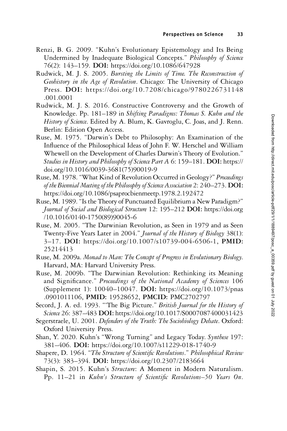- Renzi, B. G. 2009. "Kuhn's Evolutionary Epistemology and Its Being Undermined by Inadequate Biological Concepts." Philosophy of Science 76(2): 143–159. DOI: <https://doi.org/10.1086/647928>
- Rudwick, M. J. S. 2005. Bursting the Limits of Time. The Reconstruction of Geohistory in the Age of Revolution. Chicago: The University of Chicago Press. DOI: [https://doi.org/10.7208/chicago/9780226731148](https://doi.org/10.7208/chicago/9780226731148.001.0001) [.001.0001](https://doi.org/10.7208/chicago/9780226731148.001.0001)
- Rudwick, M. J. S. 2016. Constructive Controversy and the Growth of Knowledge. Pp. 181–189 in Shifting Paradigms: Thomas S. Kuhn and the History of Science. Edited by A. Blum, K. Gavroglu, C. Joas, and J. Renn. Berlin: Edition Open Access.
- Ruse, M. 1975. "Darwin's Debt to Philosophy: An Examination of the Influence of the Philosophical Ideas of John F. W. Herschel and William Whewell on the Development of Charles Darwin's Theory of Evolution." Studies in History and Philosophy of Science Part A 6: 159–181. DOI: [https://](https://doi.org/10.1016/0039-3681(75)90019-9) [doi.org/10.1016/0039-3681\(75\)90019-9](https://doi.org/10.1016/0039-3681(75)90019-9)
- Ruse, M. 1978. "What Kind of Revolution Occurred in Geology?" Proceedings of the Biennial Meeting of the Philosophy of Science Association 2: 240–273. DOI: <https://doi.org/10.1086/psaprocbienmeetp.1978.2.192472>
- Ruse, M. 1989."Is the Theory of Punctuated Equilibrium a New Paradigm?" Journal of Social and Biological Structure 12: 195-212 DOI: [https://doi.org](https://doi.org/10.1016/0140-1750(89)90045-6) [/10.1016/0140-1750\(89\)90045-6](https://doi.org/10.1016/0140-1750(89)90045-6)
- Ruse, M. 2005. "The Darwinian Revolution, as Seen in 1979 and as Seen Twenty-Five Years Later in 2004." Journal of the History of Biology 38(1): 3–17. DOI: <https://doi.org/10.1007/s10739-004-6506-1>, PMID: [25214413](https://europepmc.org/article/MED/25214413)
- Ruse, M. 2009a. Monad to Man: The Concept of Progress in Evolutionary Biology. Harvard, MA: Harvard University Press.
- Ruse, M. 2009b. "The Darwinian Revolution: Rethinking its Meaning and Significance." Proceedings of the National Academy of Sciences 106 (Supplement 1): 10040–10047. DOI: [https://doi.org/10.1073/pnas](https://doi.org/10.1073/pnas.0901011106) [.0901011106](https://doi.org/10.1073/pnas.0901011106), PMID: [19528652](https://europepmc.org/article/MED/19528652), PMCID: [PMC2702797](https://www.ncbi.nlm.nih.gov/pmc/articles/PMC2702797)
- Secord, J. A. ed. 1993. "The Big Picture." British Journal for the History of Science 26: 387-483 DOI: <https://doi.org/10.1017/S0007087400031423>
- Segerstraele, U. 2001. Defenders of the Truth: The Sociobiology Debate. Oxford: Oxford University Press.
- Shan, Y. 2020. Kuhn's "Wrong Turning" and Legacy Today. Synthese 197: 381–406. DOI: <https://doi.org/10.1007/s11229-018-1740-9>
- Shapere, D. 1964. "The Structure of Scientific Revolutions." Philosophical Review 73(3): 383–394. DOI: <https://doi.org/10.2307/2183664>
- Shapin, S. 2015. Kuhn's Structure: A Moment in Modern Naturalism. Pp. 11–21 in Kuhn's Structure of Scientific Revolutions–50 Years On.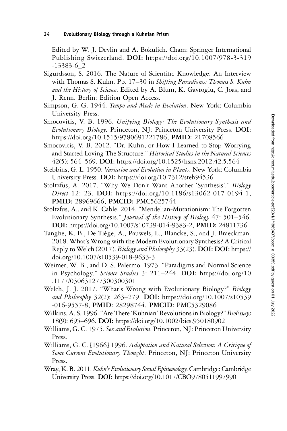Edited by W. J. Devlin and A. Bokulich. Cham: Springer International Publishing Switzerland. DOI: [https://doi.org/10.1007/978-3-319](https://doi.org/10.1007/978-3-319-13383-6_2) [-13383-6\\_2](https://doi.org/10.1007/978-3-319-13383-6_2)

- Sigurdsson, S. 2016. The Nature of Scientific Knowledge: An Interview with Thomas S. Kuhn. Pp. 17–30 in Shifting Paradigms: Thomas S. Kuhn and the History of Science. Edited by A. Blum, K. Gavroglu, C. Joas, and J. Renn. Berlin: Edition Open Access.
- Simpson, G. G. 1944. Tempo and Mode in Evolution. New York: Columbia University Press.
- Smocovitis, V. B. 1996. Unifying Biology: The Evolutionary Synthesis and Evolutionary Biology. Princeton, NJ: Princeton University Press. DOI: <https://doi.org/10.1515/9780691221786>, PMID: [21708566](https://europepmc.org/article/MED/21708566 )
- Smocovitis, V. B. 2012. "Dr. Kuhn, or How I Learned to Stop Worrying and Started Loving The Structure." Historical Studies in the Natural Sciences 42(5): 564–569. DOI: <https://doi.org/10.1525/hsns.2012.42.5.564>
- Stebbins, G. L. 1950. Variation and Evolution in Plants. New York: Columbia University Press. DOI: <https://doi.org/10.7312/steb94536>
- Stoltzfus, A. 2017. "Why We Don't Want Another 'Synthesis'." Biology Direct 12: 23. DOI: <https://doi.org/10.1186/s13062-017-0194-1>, PMID: [28969666,](https://europepmc.org/article/MED/28969666) PMCID: [PMC5625744](https://www.ncbi.nlm.nih.gov/pmc/articles/PMC5625744)
- Stoltzfus, A., and K. Cable. 2014. "Mendelian-Mutationism: The Forgotten Evolutionary Synthesis." Journal of the History of Biology 47: 501–546. DOI: <https://doi.org/10.1007/s10739-014-9383-2>, PMID: [24811736](https://europepmc.org/article/MED/24811736)
- Tanghe, K. B., De Tiège, A., Pauwels, L., Blancke, S., and J. Braeckman. 2018. What's Wrong with the Modern Evolutionary Synthesis? A Critical Reply to Welch (2017). Biology and Philosophy 33(23). DOI: DOI: [https://](https://doi.org/10.1007/s10539-018-9633-3) [doi.org/10.1007/s10539-018-9633-3](https://doi.org/10.1007/s10539-018-9633-3)
- Weimer, W. B., and D. S. Palermo. 1973. "Paradigms and Normal Science in Psychology." Science Studies 3: 211-244. DOI: [https://doi.org/10](https://doi.org/10.1177/030631277300300301) [.1177/030631277300300301](https://doi.org/10.1177/030631277300300301)
- Welch, J. J. 2017. "What's Wrong with Evolutionary Biology?" Biology and Philosophy 32(2): 263-279. DOI: [https://doi.org/10.1007/s10539](https://doi.org/10.1007/s10539-016-9557-8) [-016-9557-8,](https://doi.org/10.1007/s10539-016-9557-8) PMID: [28298744,](https://europepmc.org/article/MED/28298744) PMCID: [PMC5329086](https://www.ncbi.nlm.nih.gov/pmc/articles/PMC5329086)
- Wilkins, A. S. 1996."Are There'Kuhnian' Revolutions in Biology?" BioEssays 18(9): 695–696. DOI: <https://doi.org/10.1002/bies.950180902>
- Williams, G. C. 1975. Sex and Evolution. Princeton, NJ: Princeton University Press.
- Williams, G. C. [1966] 1996. Adaptation and Natural Selection: A Critique of Some Current Evolutionary Thought. Princeton, NJ: Princeton University Press.
- Wray, K. B. 2011. Kuhn's Evolutionary Social Epistemology. Cambridge: Cambridge University Press. DOI: <https://doi.org/10.1017/CBO9780511997990>